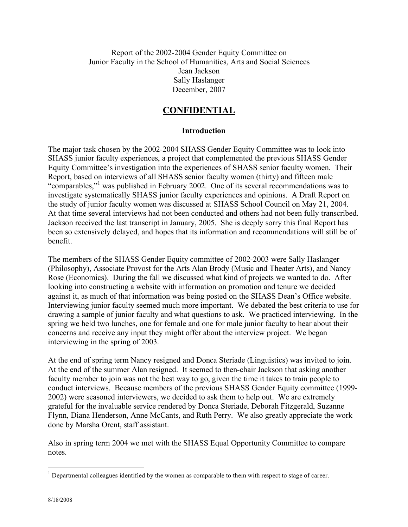Report of the 2002-2004 Gender Equity Committee on Junior Faculty in the School of Humanities, Arts and Social Sciences Jean Jackson Sally Haslanger December, 2007

# **CONFIDENTIAL**

#### **Introduction**

The major task chosen by the 2002-2004 SHASS Gender Equity Committee was to look into SHASS junior faculty experiences, a project that complemented the previous SHASS Gender Equity Committee's investigation into the experiences of SHASS senior faculty women. Their Report, based on interviews of all SHASS senior faculty women (thirty) and fifteen male "comparables,"<sup>1</sup> was published in February 2002. One of its several recommendations was to investigate systematically SHASS junior faculty experiences and opinions. A Draft Report on the study of junior faculty women was discussed at SHASS School Council on May 21, 2004. At that time several interviews had not been conducted and others had not been fully transcribed. Jackson received the last transcript in January, 2005. She is deeply sorry this final Report has been so extensively delayed, and hopes that its information and recommendations will still be of benefit.

The members of the SHASS Gender Equity committee of 2002-2003 were Sally Haslanger (Philosophy), Associate Provost for the Arts Alan Brody (Music and Theater Arts), and Nancy Rose (Economics). During the fall we discussed what kind of projects we wanted to do. After looking into constructing a website with information on promotion and tenure we decided against it, as much of that information was being posted on the SHASS Dean's Office website. Interviewing junior faculty seemed much more important. We debated the best criteria to use for drawing a sample of junior faculty and what questions to ask. We practiced interviewing. In the spring we held two lunches, one for female and one for male junior faculty to hear about their concerns and receive any input they might offer about the interview project. We began interviewing in the spring of 2003.

At the end of spring term Nancy resigned and Donca Steriade (Linguistics) was invited to join. At the end of the summer Alan resigned. It seemed to then-chair Jackson that asking another faculty member to join was not the best way to go, given the time it takes to train people to conduct interviews. Because members of the previous SHASS Gender Equity committee (1999- 2002) were seasoned interviewers, we decided to ask them to help out. We are extremely grateful for the invaluable service rendered by Donca Steriade, Deborah Fitzgerald, Suzanne Flynn, Diana Henderson, Anne McCants, and Ruth Perry. We also greatly appreciate the work done by Marsha Orent, staff assistant.

Also in spring term 2004 we met with the SHASS Equal Opportunity Committee to compare notes.

 $\frac{1}{1}$ <sup>1</sup> Departmental colleagues identified by the women as comparable to them with respect to stage of career.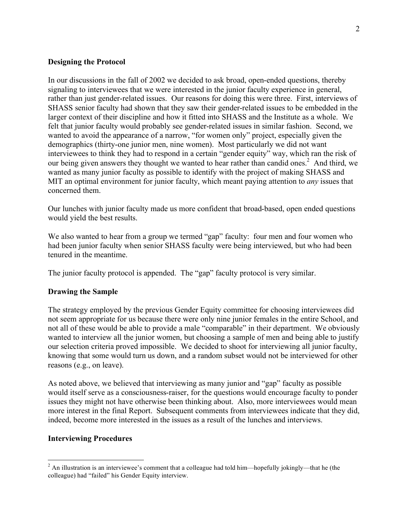#### **Designing the Protocol**

In our discussions in the fall of 2002 we decided to ask broad, open-ended questions, thereby signaling to interviewees that we were interested in the junior faculty experience in general, rather than just gender-related issues. Our reasons for doing this were three. First, interviews of SHASS senior faculty had shown that they saw their gender-related issues to be embedded in the larger context of their discipline and how it fitted into SHASS and the Institute as a whole. We felt that junior faculty would probably see gender-related issues in similar fashion. Second, we wanted to avoid the appearance of a narrow, "for women only" project, especially given the demographics (thirty-one junior men, nine women). Most particularly we did not want interviewees to think they had to respond in a certain "gender equity" way, which ran the risk of our being given answers they thought we wanted to hear rather than candid ones.<sup>2</sup> And third, we wanted as many junior faculty as possible to identify with the project of making SHASS and MIT an optimal environment for junior faculty, which meant paying attention to *any* issues that concerned them.

Our lunches with junior faculty made us more confident that broad-based, open ended questions would yield the best results.

We also wanted to hear from a group we termed "gap" faculty: four men and four women who had been junior faculty when senior SHASS faculty were being interviewed, but who had been tenured in the meantime.

The junior faculty protocol is appended. The "gap" faculty protocol is very similar.

#### **Drawing the Sample**

The strategy employed by the previous Gender Equity committee for choosing interviewees did not seem appropriate for us because there were only nine junior females in the entire School, and not all of these would be able to provide a male "comparable" in their department. We obviously wanted to interview all the junior women, but choosing a sample of men and being able to justify our selection criteria proved impossible. We decided to shoot for interviewing all junior faculty, knowing that some would turn us down, and a random subset would not be interviewed for other reasons (e.g., on leave).

As noted above, we believed that interviewing as many junior and "gap" faculty as possible would itself serve as a consciousness-raiser, for the questions would encourage faculty to ponder issues they might not have otherwise been thinking about. Also, more interviewees would mean more interest in the final Report. Subsequent comments from interviewees indicate that they did, indeed, become more interested in the issues as a result of the lunches and interviews.

#### **Interviewing Procedures**

 $2$  An illustration is an interviewee's comment that a colleague had told him—hopefully jokingly—that he (the colleague) had "failed" his Gender Equity interview.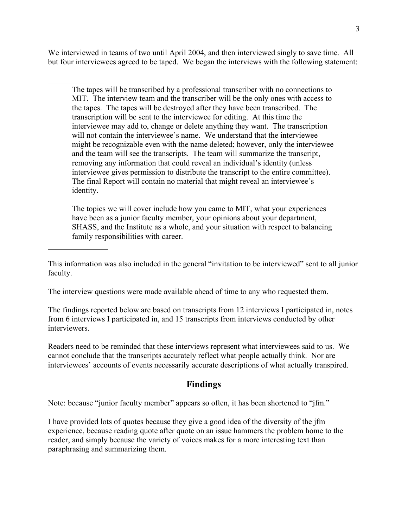We interviewed in teams of two until April 2004, and then interviewed singly to save time. All but four interviewees agreed to be taped. We began the interviews with the following statement:

 $\frac{1}{2}$ 

 $\frac{1}{2}$ 

The tapes will be transcribed by a professional transcriber with no connections to MIT. The interview team and the transcriber will be the only ones with access to the tapes. The tapes will be destroyed after they have been transcribed. The transcription will be sent to the interviewee for editing. At this time the interviewee may add to, change or delete anything they want. The transcription will not contain the interviewee's name. We understand that the interviewee might be recognizable even with the name deleted; however, only the interviewee and the team will see the transcripts. The team will summarize the transcript, removing any information that could reveal an individual's identity (unless interviewee gives permission to distribute the transcript to the entire committee). The final Report will contain no material that might reveal an interviewee's identity.

The topics we will cover include how you came to MIT, what your experiences have been as a junior faculty member, your opinions about your department, SHASS, and the Institute as a whole, and your situation with respect to balancing family responsibilities with career.

The interview questions were made available ahead of time to any who requested them.

The findings reported below are based on transcripts from 12 interviews I participated in, notes from 6 interviews I participated in, and 15 transcripts from interviews conducted by other interviewers.

Readers need to be reminded that these interviews represent what interviewees said to us. We cannot conclude that the transcripts accurately reflect what people actually think. Nor are interviewees' accounts of events necessarily accurate descriptions of what actually transpired.

# **Findings**

Note: because "junior faculty member" appears so often, it has been shortened to "jfm."

I have provided lots of quotes because they give a good idea of the diversity of the jfm experience, because reading quote after quote on an issue hammers the problem home to the reader, and simply because the variety of voices makes for a more interesting text than paraphrasing and summarizing them.

This information was also included in the general "invitation to be interviewed" sent to all junior faculty.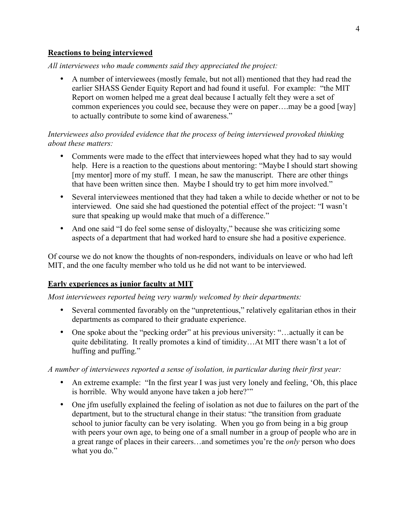### **Reactions to being interviewed**

*All interviewees who made comments said they appreciated the project:*

• A number of interviewees (mostly female, but not all) mentioned that they had read the earlier SHASS Gender Equity Report and had found it useful. For example: "the MIT Report on women helped me a great deal because I actually felt they were a set of common experiences you could see, because they were on paper….may be a good [way] to actually contribute to some kind of awareness."

## *Interviewees also provided evidence that the process of being interviewed provoked thinking about these matters:*

- Comments were made to the effect that interviewees hoped what they had to say would help. Here is a reaction to the questions about mentoring: "Maybe I should start showing [my mentor] more of my stuff. I mean, he saw the manuscript. There are other things that have been written since then. Maybe I should try to get him more involved."
- Several interviewees mentioned that they had taken a while to decide whether or not to be interviewed. One said she had questioned the potential effect of the project: "I wasn't sure that speaking up would make that much of a difference."
- And one said "I do feel some sense of disloyalty," because she was criticizing some aspects of a department that had worked hard to ensure she had a positive experience.

Of course we do not know the thoughts of non-responders, individuals on leave or who had left MIT, and the one faculty member who told us he did not want to be interviewed.

### **Early experiences as junior faculty at MIT**

*Most interviewees reported being very warmly welcomed by their departments:*

- Several commented favorably on the "unpretentious," relatively egalitarian ethos in their departments as compared to their graduate experience.
- One spoke about the "pecking order" at his previous university: "...actually it can be quite debilitating. It really promotes a kind of timidity…At MIT there wasn't a lot of huffing and puffing."

*A number of interviewees reported a sense of isolation, in particular during their first year:*

- An extreme example: "In the first year I was just very lonely and feeling, 'Oh, this place is horrible. Why would anyone have taken a job here?"
- One jfm usefully explained the feeling of isolation as not due to failures on the part of the department, but to the structural change in their status: "the transition from graduate school to junior faculty can be very isolating. When you go from being in a big group with peers your own age, to being one of a small number in a group of people who are in a great range of places in their careers…and sometimes you're the *only* person who does what you do."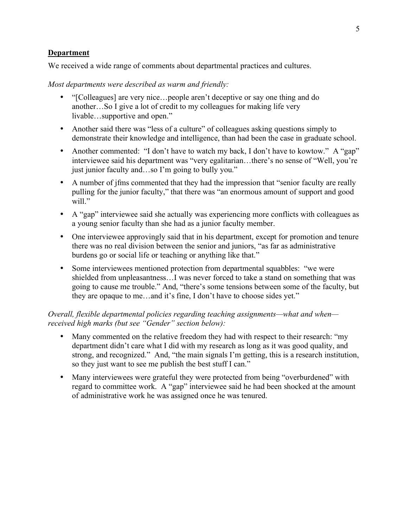## **Department**

We received a wide range of comments about departmental practices and cultures.

#### *Most departments were described as warm and friendly:*

- "[Colleagues] are very nice...people aren't deceptive or say one thing and do another…So I give a lot of credit to my colleagues for making life very livable…supportive and open."
- Another said there was "less of a culture" of colleagues asking questions simply to demonstrate their knowledge and intelligence, than had been the case in graduate school.
- Another commented: "I don't have to watch my back, I don't have to kowtow." A "gap" interviewee said his department was "very egalitarian…there's no sense of "Well, you're just junior faculty and…so I'm going to bully you."
- A number of jfms commented that they had the impression that "senior faculty are really pulling for the junior faculty," that there was "an enormous amount of support and good will."
- A "gap" interviewee said she actually was experiencing more conflicts with colleagues as a young senior faculty than she had as a junior faculty member.
- One interviewee approvingly said that in his department, except for promotion and tenure there was no real division between the senior and juniors, "as far as administrative burdens go or social life or teaching or anything like that."
- Some interviewees mentioned protection from departmental squabbles: "we were shielded from unpleasantness…I was never forced to take a stand on something that was going to cause me trouble." And, "there's some tensions between some of the faculty, but they are opaque to me…and it's fine, I don't have to choose sides yet."

## *Overall, flexible departmental policies regarding teaching assignments—what and when received high marks (but see "Gender" section below):*

- Many commented on the relative freedom they had with respect to their research: "my department didn't care what I did with my research as long as it was good quality, and strong, and recognized." And, "the main signals I'm getting, this is a research institution, so they just want to see me publish the best stuff I can."
- Many interviewees were grateful they were protected from being "overburdened" with regard to committee work. A "gap" interviewee said he had been shocked at the amount of administrative work he was assigned once he was tenured.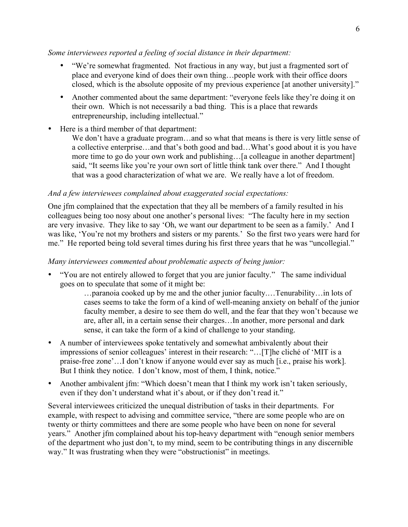### *Some interviewees reported a feeling of social distance in their department:*

- "We're somewhat fragmented. Not fractious in any way, but just a fragmented sort of place and everyone kind of does their own thing…people work with their office doors closed, which is the absolute opposite of my previous experience [at another university]."
- Another commented about the same department: "everyone feels like they're doing it on their own. Which is not necessarily a bad thing. This is a place that rewards entrepreneurship, including intellectual."
- Here is a third member of that department:

We don't have a graduate program...and so what that means is there is very little sense of a collective enterprise…and that's both good and bad…What's good about it is you have more time to go do your own work and publishing...[a colleague in another department] said, "It seems like you're your own sort of little think tank over there." And I thought that was a good characterization of what we are. We really have a lot of freedom.

### *And a few interviewees complained about exaggerated social expectations:*

One jfm complained that the expectation that they all be members of a family resulted in his colleagues being too nosy about one another's personal lives: "The faculty here in my section are very invasive. They like to say 'Oh, we want our department to be seen as a family.' And I was like, 'You're not my brothers and sisters or my parents.' So the first two years were hard for me." He reported being told several times during his first three years that he was "uncollegial."

#### *Many interviewees commented about problematic aspects of being junior:*

• "You are not entirely allowed to forget that you are junior faculty." The same individual goes on to speculate that some of it might be:

> …paranoia cooked up by me and the other junior faculty.…Tenurability…in lots of cases seems to take the form of a kind of well-meaning anxiety on behalf of the junior faculty member, a desire to see them do well, and the fear that they won't because we are, after all, in a certain sense their charges…In another, more personal and dark sense, it can take the form of a kind of challenge to your standing.

- A number of interviewees spoke tentatively and somewhat ambivalently about their impressions of senior colleagues' interest in their research: "…[T]he cliché of 'MIT is a praise-free zone'…I don't know if anyone would ever say as much [i.e., praise his work]. But I think they notice. I don't know, most of them, I think, notice."
- Another ambivalent jfm: "Which doesn't mean that I think my work isn't taken seriously, even if they don't understand what it's about, or if they don't read it."

Several interviewees criticized the unequal distribution of tasks in their departments. For example, with respect to advising and committee service, "there are some people who are on twenty or thirty committees and there are some people who have been on none for several years." Another jfm complained about his top-heavy department with "enough senior members of the department who just don't, to my mind, seem to be contributing things in any discernible way." It was frustrating when they were "obstructionist" in meetings.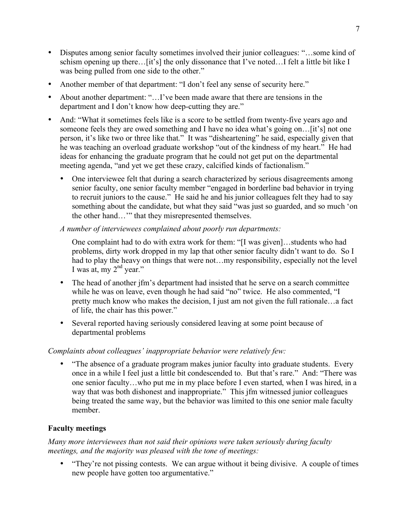- Disputes among senior faculty sometimes involved their junior colleagues: "…some kind of schism opening up there…[it's] the only dissonance that I've noted…I felt a little bit like I was being pulled from one side to the other."
- Another member of that department: "I don't feel any sense of security here."
- About another department: "...I've been made aware that there are tensions in the department and I don't know how deep-cutting they are."
- And: "What it sometimes feels like is a score to be settled from twenty-five years ago and someone feels they are owed something and I have no idea what's going on... [it's] not one person, it's like two or three like that." It was "disheartening" he said, especially given that he was teaching an overload graduate workshop "out of the kindness of my heart." He had ideas for enhancing the graduate program that he could not get put on the departmental meeting agenda, "and yet we get these crazy, calcified kinds of factionalism."
	- One interviewee felt that during a search characterized by serious disagreements among senior faculty, one senior faculty member "engaged in borderline bad behavior in trying to recruit juniors to the cause." He said he and his junior colleagues felt they had to say something about the candidate, but what they said "was just so guarded, and so much 'on the other hand…'" that they misrepresented themselves.

# *A number of interviewees complained about poorly run departments:*

One complaint had to do with extra work for them: "[I was given]…students who had problems, dirty work dropped in my lap that other senior faculty didn't want to do. So I had to play the heavy on things that were not…my responsibility, especially not the level I was at, my  $2<sup>nd</sup>$  year."

- The head of another ifm's department had insisted that he serve on a search committee while he was on leave, even though he had said "no" twice. He also commented, "I pretty much know who makes the decision, I just am not given the full rationale…a fact of life, the chair has this power."
- Several reported having seriously considered leaving at some point because of departmental problems

# *Complaints about colleagues' inappropriate behavior were relatively few:*

• "The absence of a graduate program makes junior faculty into graduate students. Every once in a while I feel just a little bit condescended to. But that's rare." And: "There was one senior faculty…who put me in my place before I even started, when I was hired, in a way that was both dishonest and inappropriate." This jfm witnessed junior colleagues being treated the same way, but the behavior was limited to this one senior male faculty member.

# **Faculty meetings**

*Many more interviewees than not said their opinions were taken seriously during faculty meetings, and the majority was pleased with the tone of meetings:*

• "They're not pissing contests. We can argue without it being divisive. A couple of times new people have gotten too argumentative."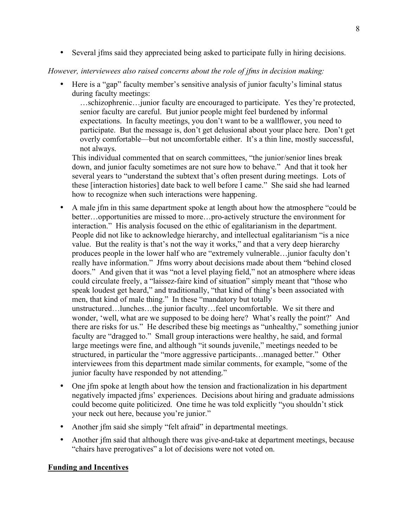• Several jfms said they appreciated being asked to participate fully in hiring decisions.

# *However, interviewees also raised concerns about the role of jfms in decision making:*

• Here is a "gap" faculty member's sensitive analysis of junior faculty's liminal status during faculty meetings:

…schizophrenic…junior faculty are encouraged to participate. Yes they're protected, senior faculty are careful. But junior people might feel burdened by informal expectations. In faculty meetings, you don't want to be a wallflower, you need to participate. But the message is, don't get delusional about your place here. Don't get overly comfortable—but not uncomfortable either. It's a thin line, mostly successful, not always.

This individual commented that on search committees, "the junior/senior lines break down, and junior faculty sometimes are not sure how to behave." And that it took her several years to "understand the subtext that's often present during meetings. Lots of these [interaction histories] date back to well before I came." She said she had learned how to recognize when such interactions were happening.

- A male jfm in this same department spoke at length about how the atmosphere "could be better…opportunities are missed to more…pro-actively structure the environment for interaction." His analysis focused on the ethic of egalitarianism in the department. People did not like to acknowledge hierarchy, and intellectual egalitarianism "is a nice value. But the reality is that's not the way it works," and that a very deep hierarchy produces people in the lower half who are "extremely vulnerable…junior faculty don't really have information." Jfms worry about decisions made about them "behind closed doors." And given that it was "not a level playing field," not an atmosphere where ideas could circulate freely, a "laissez-faire kind of situation" simply meant that "those who speak loudest get heard," and traditionally, "that kind of thing's been associated with men, that kind of male thing." In these "mandatory but totally unstructured…lunches…the junior faculty…feel uncomfortable. We sit there and wonder, 'well, what are we supposed to be doing here? What's really the point?' And there are risks for us." He described these big meetings as "unhealthy," something junior faculty are "dragged to." Small group interactions were healthy, he said, and formal large meetings were fine, and although "it sounds juvenile," meetings needed to be structured, in particular the "more aggressive participants…managed better." Other interviewees from this department made similar comments, for example, "some of the junior faculty have responded by not attending."
- One jfm spoke at length about how the tension and fractionalization in his department negatively impacted jfms' experiences. Decisions about hiring and graduate admissions could become quite politicized. One time he was told explicitly "you shouldn't stick your neck out here, because you're junior."
- Another jfm said she simply "felt afraid" in departmental meetings.
- Another jfm said that although there was give-and-take at department meetings, because "chairs have prerogatives" a lot of decisions were not voted on.

# **Funding and Incentives**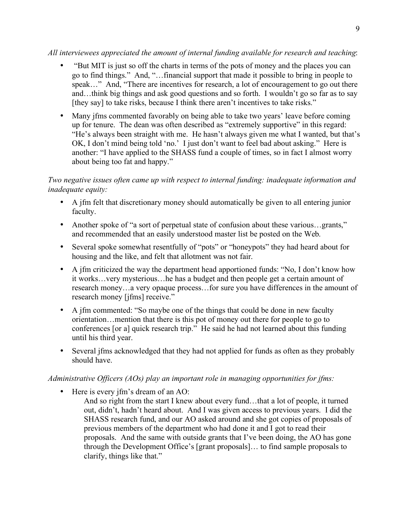## *All interviewees appreciated the amount of internal funding available for research and teaching*:

- "But MIT is just so off the charts in terms of the pots of money and the places you can go to find things." And, "…financial support that made it possible to bring in people to speak..." And, "There are incentives for research, a lot of encouragement to go out there and…think big things and ask good questions and so forth. I wouldn't go so far as to say [they say] to take risks, because I think there aren't incentives to take risks."
- Many jfms commented favorably on being able to take two years' leave before coming up for tenure. The dean was often described as "extremely supportive" in this regard: "He's always been straight with me. He hasn't always given me what I wanted, but that's OK, I don't mind being told 'no.' I just don't want to feel bad about asking." Here is another: "I have applied to the SHASS fund a couple of times, so in fact I almost worry about being too fat and happy."

# *Two negative issues often came up with respect to internal funding: inadequate information and inadequate equity:*

- A jfm felt that discretionary money should automatically be given to all entering junior faculty.
- Another spoke of "a sort of perpetual state of confusion about these various...grants," and recommended that an easily understood master list be posted on the Web.
- Several spoke somewhat resentfully of "pots" or "honeypots" they had heard about for housing and the like, and felt that allotment was not fair.
- A jfm criticized the way the department head apportioned funds: "No, I don't know how it works…very mysterious…he has a budget and then people get a certain amount of research money…a very opaque process…for sure you have differences in the amount of research money [jfms] receive."
- A jfm commented: "So maybe one of the things that could be done in new faculty orientation…mention that there is this pot of money out there for people to go to conferences [or a] quick research trip." He said he had not learned about this funding until his third year.
- Several jfms acknowledged that they had not applied for funds as often as they probably should have.

# *Administrative Officers (AOs) play an important role in managing opportunities for jfms:*

- Here is every jfm's dream of an AO:
	- And so right from the start I knew about every fund…that a lot of people, it turned out, didn't, hadn't heard about. And I was given access to previous years. I did the SHASS research fund, and our AO asked around and she got copies of proposals of previous members of the department who had done it and I got to read their proposals. And the same with outside grants that I've been doing, the AO has gone through the Development Office's [grant proposals]… to find sample proposals to clarify, things like that."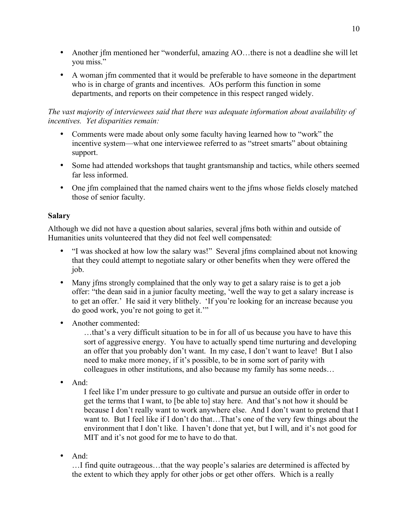- Another jfm mentioned her "wonderful, amazing AO... there is not a deadline she will let you miss."
- A woman jfm commented that it would be preferable to have someone in the department who is in charge of grants and incentives. AOs perform this function in some departments, and reports on their competence in this respect ranged widely.

# *The vast majority of interviewees said that there was adequate information about availability of incentives. Yet disparities remain:*

- Comments were made about only some faculty having learned how to "work" the incentive system—what one interviewee referred to as "street smarts" about obtaining support.
- Some had attended workshops that taught grantsmanship and tactics, while others seemed far less informed.
- One jfm complained that the named chairs went to the jfms whose fields closely matched those of senior faculty.

# **Salary**

Although we did not have a question about salaries, several jfms both within and outside of Humanities units volunteered that they did not feel well compensated:

- "I was shocked at how low the salary was!" Several jfms complained about not knowing that they could attempt to negotiate salary or other benefits when they were offered the job.
- Many jfms strongly complained that the only way to get a salary raise is to get a job offer: "the dean said in a junior faculty meeting, 'well the way to get a salary increase is to get an offer.' He said it very blithely. 'If you're looking for an increase because you do good work, you're not going to get it.'"
- Another commented:

…that's a very difficult situation to be in for all of us because you have to have this sort of aggressive energy. You have to actually spend time nurturing and developing an offer that you probably don't want. In my case, I don't want to leave! But I also need to make more money, if it's possible, to be in some sort of parity with colleagues in other institutions, and also because my family has some needs…

• And:

I feel like I'm under pressure to go cultivate and pursue an outside offer in order to get the terms that I want, to [be able to] stay here. And that's not how it should be because I don't really want to work anywhere else. And I don't want to pretend that I want to. But I feel like if I don't do that…That's one of the very few things about the environment that I don't like. I haven't done that yet, but I will, and it's not good for MIT and it's not good for me to have to do that.

• And:

…I find quite outrageous…that the way people's salaries are determined is affected by the extent to which they apply for other jobs or get other offers. Which is a really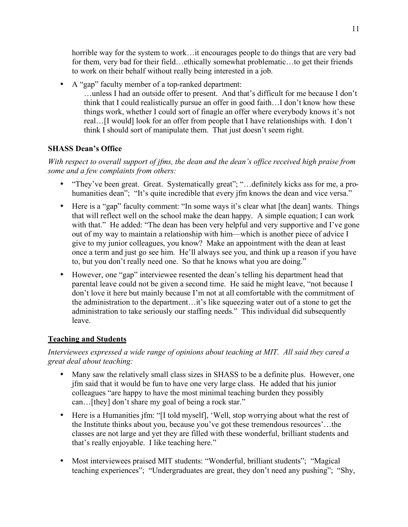horrible way for the system to work... it encourages people to do things that are very bad for them, very bad for their field...ethically somewhat problematic...to get their friends to work on their behalf without really being interested in a job.

• A "gap" faculty member of a top-ranked department: …unless I had an outside offer to present. And that's difficult for me because I don't think that I could realistically pursue an offer in good faith…I don't know how these things work, whether I could sort of finagle an offer where everybody knows it's not real…[I would] look for an offer from people that I have relationships with. I don't think I should sort of manipulate them. That just doesn't seem right.

# **SHASS Dean's Office**

*With respect to overall support of jfms, the dean and the dean's office received high praise from some and a few complaints from others:*

- "They've been great. Great. Systematically great"; "…definitely kicks ass for me, a prohumanities dean"; "It's quite incredible that every jfm knows the dean and vice versa."
- Here is a "gap" faculty comment: "In some ways it's clear what [the dean] wants. Things that will reflect well on the school make the dean happy. A simple equation; I can work with that." He added: "The dean has been very helpful and very supportive and I've gone out of my way to maintain a relationship with him—which is another piece of advice I give to my junior colleagues, you know? Make an appointment with the dean at least once a term and just go see him. He'll always see you, and think up a reason if you have to, but you don't really need one. So that he knows what you are doing."
- However, one "gap" interviewee resented the dean's telling his department head that parental leave could not be given a second time. He said he might leave, "not because I don't love it here but mainly because I'm not at all comfortable with the commitment of the administration to the department…it's like squeezing water out of a stone to get the administration to take seriously our staffing needs." This individual did subsequently leave.

# **Teaching and Students**

*Interviewees expressed a wide range of opinions about teaching at MIT. All said they cared a great deal about teaching:*

- Many saw the relatively small class sizes in SHASS to be a definite plus. However, one jfm said that it would be fun to have one very large class. He added that his junior colleagues "are happy to have the most minimal teaching burden they possibly can…[they] don't share my goal of being a rock star."
- Here is a Humanities jfm: "[I told myself], 'Well, stop worrying about what the rest of the Institute thinks about you, because you've got these tremendous resources'…the classes are not large and yet they are filled with these wonderful, brilliant students and that's really enjoyable. I like teaching here."
- Most interviewees praised MIT students: "Wonderful, brilliant students"; "Magical teaching experiences"; "Undergraduates are great, they don't need any pushing"; "Shy,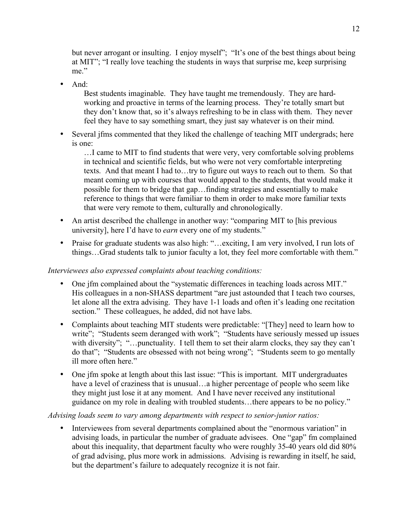but never arrogant or insulting. I enjoy myself"; "It's one of the best things about being at MIT"; "I really love teaching the students in ways that surprise me, keep surprising me."

• And:

Best students imaginable. They have taught me tremendously. They are hardworking and proactive in terms of the learning process. They're totally smart but they don't know that, so it's always refreshing to be in class with them. They never feel they have to say something smart, they just say whatever is on their mind.

• Several jfms commented that they liked the challenge of teaching MIT undergrads; here is one:

…I came to MIT to find students that were very, very comfortable solving problems in technical and scientific fields, but who were not very comfortable interpreting texts. And that meant I had to…try to figure out ways to reach out to them. So that meant coming up with courses that would appeal to the students, that would make it possible for them to bridge that gap…finding strategies and essentially to make reference to things that were familiar to them in order to make more familiar texts that were very remote to them, culturally and chronologically.

- An artist described the challenge in another way: "comparing MIT to [his previous] university], here I'd have to *earn* every one of my students."
- Praise for graduate students was also high: "... exciting, I am very involved, I run lots of things…Grad students talk to junior faculty a lot, they feel more comfortable with them."

# *Interviewees also expressed complaints about teaching conditions:*

- One jfm complained about the "systematic differences in teaching loads across MIT." His colleagues in a non-SHASS department "are just astounded that I teach two courses, let alone all the extra advising. They have 1-1 loads and often it's leading one recitation section." These colleagues, he added, did not have labs.
- Complaints about teaching MIT students were predictable: "[They] need to learn how to write"; "Students seem deranged with work"; "Students have seriously messed up issues with diversity"; "...punctuality. I tell them to set their alarm clocks, they say they can't do that"; "Students are obsessed with not being wrong"; "Students seem to go mentally ill more often here."
- One jfm spoke at length about this last issue: "This is important. MIT undergraduates have a level of craziness that is unusual...a higher percentage of people who seem like they might just lose it at any moment. And I have never received any institutional guidance on my role in dealing with troubled students…there appears to be no policy."

# *Advising loads seem to vary among departments with respect to senior-junior ratios:*

Interviewees from several departments complained about the "enormous variation" in advising loads, in particular the number of graduate advisees. One "gap" fm complained about this inequality, that department faculty who were roughly 35-40 years old did 80% of grad advising, plus more work in admissions. Advising is rewarding in itself, he said, but the department's failure to adequately recognize it is not fair.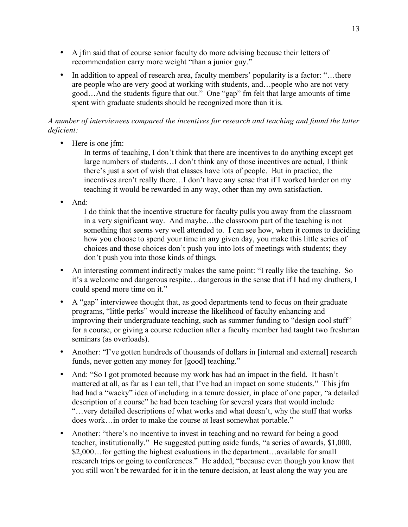- A jfm said that of course senior faculty do more advising because their letters of recommendation carry more weight "than a junior guy."
- In addition to appeal of research area, faculty members' popularity is a factor: "...there are people who are very good at working with students, and…people who are not very good…And the students figure that out." One "gap" fm felt that large amounts of time spent with graduate students should be recognized more than it is.

# *A number of interviewees compared the incentives for research and teaching and found the latter deficient:*

• Here is one ifm:

In terms of teaching, I don't think that there are incentives to do anything except get large numbers of students…I don't think any of those incentives are actual, I think there's just a sort of wish that classes have lots of people. But in practice, the incentives aren't really there…I don't have any sense that if I worked harder on my teaching it would be rewarded in any way, other than my own satisfaction.

• And:

I do think that the incentive structure for faculty pulls you away from the classroom in a very significant way. And maybe…the classroom part of the teaching is not something that seems very well attended to. I can see how, when it comes to deciding how you choose to spend your time in any given day, you make this little series of choices and those choices don't push you into lots of meetings with students; they don't push you into those kinds of things.

- An interesting comment indirectly makes the same point: "I really like the teaching. So it's a welcome and dangerous respite…dangerous in the sense that if I had my druthers, I could spend more time on it."
- A "gap" interviewee thought that, as good departments tend to focus on their graduate programs, "little perks" would increase the likelihood of faculty enhancing and improving their undergraduate teaching, such as summer funding to "design cool stuff" for a course, or giving a course reduction after a faculty member had taught two freshman seminars (as overloads).
- Another: "I've gotten hundreds of thousands of dollars in [internal and external] research funds, never gotten any money for [good] teaching."
- And: "So I got promoted because my work has had an impact in the field. It hasn't mattered at all, as far as I can tell, that I've had an impact on some students." This jfm had had a "wacky" idea of including in a tenure dossier, in place of one paper, "a detailed description of a course" he had been teaching for several years that would include "…very detailed descriptions of what works and what doesn't, why the stuff that works does work…in order to make the course at least somewhat portable."
- Another: "there's no incentive to invest in teaching and no reward for being a good teacher, institutionally." He suggested putting aside funds, "a series of awards, \$1,000, \$2,000…for getting the highest evaluations in the department…available for small research trips or going to conferences." He added, "because even though you know that you still won't be rewarded for it in the tenure decision, at least along the way you are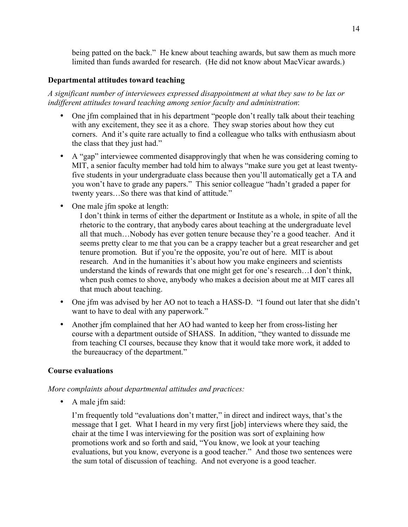being patted on the back." He knew about teaching awards, but saw them as much more limited than funds awarded for research. (He did not know about MacVicar awards.)

## **Departmental attitudes toward teaching**

*A significant number of interviewees expressed disappointment at what they saw to be lax or indifferent attitudes toward teaching among senior faculty and administration*:

- One jfm complained that in his department "people don't really talk about their teaching with any excitement, they see it as a chore. They swap stories about how they cut corners. And it's quite rare actually to find a colleague who talks with enthusiasm about the class that they just had."
- A "gap" interviewee commented disapprovingly that when he was considering coming to MIT, a senior faculty member had told him to always "make sure you get at least twentyfive students in your undergraduate class because then you'll automatically get a TA and you won't have to grade any papers." This senior colleague "hadn't graded a paper for twenty years…So there was that kind of attitude."
- One male jfm spoke at length:

I don't think in terms of either the department or Institute as a whole, in spite of all the rhetoric to the contrary, that anybody cares about teaching at the undergraduate level all that much…Nobody has ever gotten tenure because they're a good teacher. And it seems pretty clear to me that you can be a crappy teacher but a great researcher and get tenure promotion. But if you're the opposite, you're out of here. MIT is about research. And in the humanities it's about how you make engineers and scientists understand the kinds of rewards that one might get for one's research…I don't think, when push comes to shove, anybody who makes a decision about me at MIT cares all that much about teaching.

- One jfm was advised by her AO not to teach a HASS-D. "I found out later that she didn't want to have to deal with any paperwork."
- Another jfm complained that her AO had wanted to keep her from cross-listing her course with a department outside of SHASS. In addition, "they wanted to dissuade me from teaching CI courses, because they know that it would take more work, it added to the bureaucracy of the department."

# **Course evaluations**

*More complaints about departmental attitudes and practices:*

• A male jfm said:

I'm frequently told "evaluations don't matter," in direct and indirect ways, that's the message that I get. What I heard in my very first [job] interviews where they said, the chair at the time I was interviewing for the position was sort of explaining how promotions work and so forth and said, "You know, we look at your teaching evaluations, but you know, everyone is a good teacher." And those two sentences were the sum total of discussion of teaching. And not everyone is a good teacher.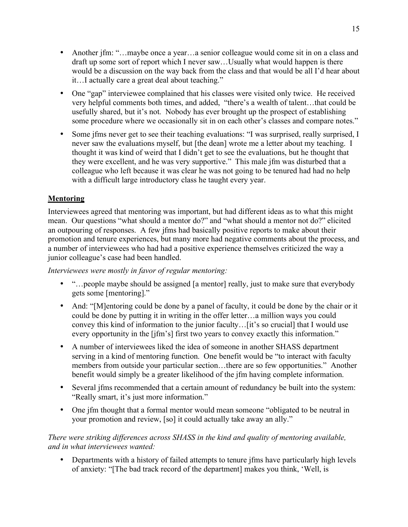- Another jfm: "...maybe once a year...a senior colleague would come sit in on a class and draft up some sort of report which I never saw…Usually what would happen is there would be a discussion on the way back from the class and that would be all I'd hear about it…I actually care a great deal about teaching."
- One "gap" interviewee complained that his classes were visited only twice. He received very helpful comments both times, and added, "there's a wealth of talent…that could be usefully shared, but it's not. Nobody has ever brought up the prospect of establishing some procedure where we occasionally sit in on each other's classes and compare notes."
- Some jfms never get to see their teaching evaluations: "I was surprised, really surprised, I never saw the evaluations myself, but [the dean] wrote me a letter about my teaching. I thought it was kind of weird that I didn't get to see the evaluations, but he thought that they were excellent, and he was very supportive." This male jfm was disturbed that a colleague who left because it was clear he was not going to be tenured had had no help with a difficult large introductory class he taught every year.

# **Mentoring**

Interviewees agreed that mentoring was important, but had different ideas as to what this might mean. Our questions "what should a mentor do?" and "what should a mentor not do?" elicited an outpouring of responses. A few jfms had basically positive reports to make about their promotion and tenure experiences, but many more had negative comments about the process, and a number of interviewees who had had a positive experience themselves criticized the way a junior colleague's case had been handled.

*Interviewees were mostly in favor of regular mentoring:*

- "...people maybe should be assigned [a mentor] really, just to make sure that everybody gets some [mentoring]."
- And: "[M]entoring could be done by a panel of faculty, it could be done by the chair or it could be done by putting it in writing in the offer letter…a million ways you could convey this kind of information to the junior faculty…[it's so crucial] that I would use every opportunity in the [jfm's] first two years to convey exactly this information."
- A number of interviewees liked the idea of someone in another SHASS department serving in a kind of mentoring function. One benefit would be "to interact with faculty members from outside your particular section…there are so few opportunities." Another benefit would simply be a greater likelihood of the jfm having complete information.
- Several jfms recommended that a certain amount of redundancy be built into the system: "Really smart, it's just more information."
- One jfm thought that a formal mentor would mean someone "obligated to be neutral in your promotion and review, [so] it could actually take away an ally."

# *There were striking differences across SHASS in the kind and quality of mentoring available, and in what interviewees wanted:*

• Departments with a history of failed attempts to tenure jfms have particularly high levels of anxiety: "[The bad track record of the department] makes you think, 'Well, is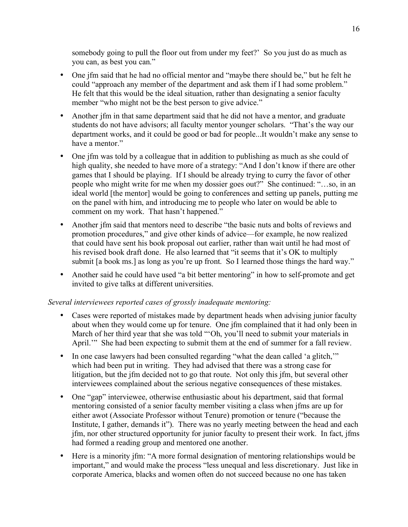somebody going to pull the floor out from under my feet?' So you just do as much as you can, as best you can."

- One jfm said that he had no official mentor and "maybe there should be," but he felt he could "approach any member of the department and ask them if I had some problem." He felt that this would be the ideal situation, rather than designating a senior faculty member "who might not be the best person to give advice."
- Another jfm in that same department said that he did not have a mentor, and graduate students do not have advisors; all faculty mentor younger scholars. "That's the way our department works, and it could be good or bad for people...It wouldn't make any sense to have a mentor."
- One jfm was told by a colleague that in addition to publishing as much as she could of high quality, she needed to have more of a strategy: "And I don't know if there are other games that I should be playing. If I should be already trying to curry the favor of other people who might write for me when my dossier goes out?" She continued: "…so, in an ideal world [the mentor] would be going to conferences and setting up panels, putting me on the panel with him, and introducing me to people who later on would be able to comment on my work. That hasn't happened."
- Another jfm said that mentors need to describe "the basic nuts and bolts of reviews and promotion procedures," and give other kinds of advice—for example, he now realized that could have sent his book proposal out earlier, rather than wait until he had most of his revised book draft done. He also learned that "it seems that it's OK to multiply submit [a book ms.] as long as you're up front. So I learned those things the hard way."
- Another said he could have used "a bit better mentoring" in how to self-promote and get invited to give talks at different universities.

# *Several interviewees reported cases of grossly inadequate mentoring:*

- Cases were reported of mistakes made by department heads when advising junior faculty about when they would come up for tenure. One jfm complained that it had only been in March of her third year that she was told "'Oh, you'll need to submit your materials in April."" She had been expecting to submit them at the end of summer for a fall review.
- In one case lawyers had been consulted regarding "what the dean called 'a glitch," which had been put in writing. They had advised that there was a strong case for litigation, but the jfm decided not to go that route. Not only this jfm, but several other interviewees complained about the serious negative consequences of these mistakes.
- One "gap" interviewee, otherwise enthusiastic about his department, said that formal mentoring consisted of a senior faculty member visiting a class when jfms are up for either awot (Associate Professor without Tenure) promotion or tenure ("because the Institute, I gather, demands it"). There was no yearly meeting between the head and each jfm, nor other structured opportunity for junior faculty to present their work. In fact, jfms had formed a reading group and mentored one another.
- Here is a minority jfm: "A more formal designation of mentoring relationships would be important," and would make the process "less unequal and less discretionary. Just like in corporate America, blacks and women often do not succeed because no one has taken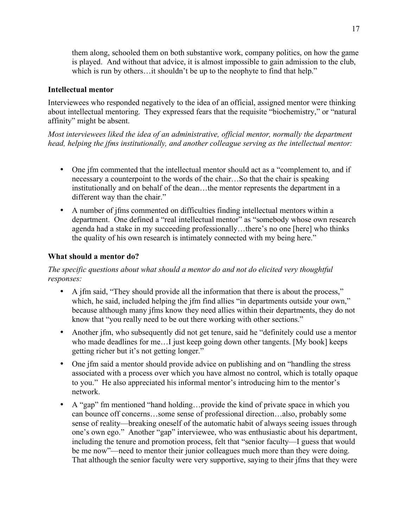them along, schooled them on both substantive work, company politics, on how the game is played. And without that advice, it is almost impossible to gain admission to the club, which is run by others... it shouldn't be up to the neophyte to find that help."

## **Intellectual mentor**

Interviewees who responded negatively to the idea of an official, assigned mentor were thinking about intellectual mentoring. They expressed fears that the requisite "biochemistry," or "natural affinity" might be absent.

*Most interviewees liked the idea of an administrative, official mentor, normally the department head, helping the jfms institutionally, and another colleague serving as the intellectual mentor:*

- One jfm commented that the intellectual mentor should act as a "complement to, and if necessary a counterpoint to the words of the chair…So that the chair is speaking institutionally and on behalf of the dean…the mentor represents the department in a different way than the chair."
- A number of jfms commented on difficulties finding intellectual mentors within a department. One defined a "real intellectual mentor" as "somebody whose own research agenda had a stake in my succeeding professionally…there's no one [here] who thinks the quality of his own research is intimately connected with my being here."

## **What should a mentor do?**

*The specific questions about what should a mentor do and not do elicited very thoughtful responses:*

- A jfm said, "They should provide all the information that there is about the process," which, he said, included helping the jfm find allies "in departments outside your own," because although many jfms know they need allies within their departments, they do not know that "you really need to be out there working with other sections."
- Another jfm, who subsequently did not get tenure, said he "definitely could use a mentor" who made deadlines for me... I just keep going down other tangents. [My book] keeps getting richer but it's not getting longer."
- One jfm said a mentor should provide advice on publishing and on "handling the stress" associated with a process over which you have almost no control, which is totally opaque to you." He also appreciated his informal mentor's introducing him to the mentor's network.
- A "gap" fm mentioned "hand holding...provide the kind of private space in which you can bounce off concerns…some sense of professional direction…also, probably some sense of reality—breaking oneself of the automatic habit of always seeing issues through one's own ego." Another "gap" interviewee, who was enthusiastic about his department, including the tenure and promotion process, felt that "senior faculty—I guess that would be me now"—need to mentor their junior colleagues much more than they were doing. That although the senior faculty were very supportive, saying to their jfms that they were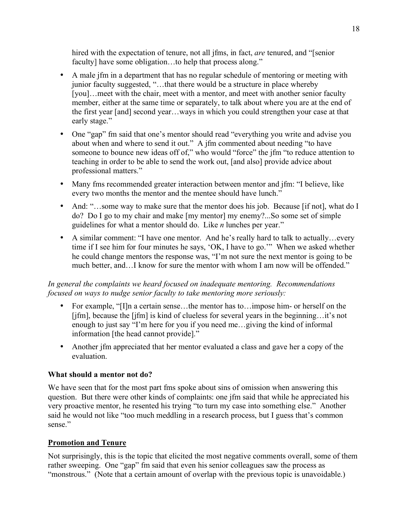hired with the expectation of tenure, not all jfms, in fact, *are* tenured, and "[senior faculty] have some obligation...to help that process along."

- A male jfm in a department that has no regular schedule of mentoring or meeting with junior faculty suggested, "…that there would be a structure in place whereby [you]... meet with the chair, meet with a mentor, and meet with another senior faculty member, either at the same time or separately, to talk about where you are at the end of the first year [and] second year…ways in which you could strengthen your case at that early stage."
- One "gap" fm said that one's mentor should read "everything you write and advise you about when and where to send it out." A jfm commented about needing "to have someone to bounce new ideas off of," who would "force" the jfm "to reduce attention to teaching in order to be able to send the work out, [and also] provide advice about professional matters."
- Many fms recommended greater interaction between mentor and jfm: "I believe, like every two months the mentor and the mentee should have lunch."
- And: "...some way to make sure that the mentor does his job. Because [if not], what do I do? Do I go to my chair and make [my mentor] my enemy?...So some set of simple guidelines for what a mentor should do. Like *n* lunches per year."
- A similar comment: "I have one mentor. And he's really hard to talk to actually...every time if I see him for four minutes he says, 'OK, I have to go.'" When we asked whether he could change mentors the response was, "I'm not sure the next mentor is going to be much better, and...I know for sure the mentor with whom I am now will be offended."

# *In general the complaints we heard focused on inadequate mentoring. Recommendations focused on ways to nudge senior faculty to take mentoring more seriously:*

- For example, "[I]n a certain sense...the mentor has to... impose him- or herself on the [jfm], because the [jfm] is kind of clueless for several years in the beginning…it's not enough to just say "I'm here for you if you need me…giving the kind of informal information [the head cannot provide]."
- Another jfm appreciated that her mentor evaluated a class and gave her a copy of the evaluation.

# **What should a mentor not do?**

We have seen that for the most part fms spoke about sins of omission when answering this question. But there were other kinds of complaints: one jfm said that while he appreciated his very proactive mentor, he resented his trying "to turn my case into something else." Another said he would not like "too much meddling in a research process, but I guess that's common sense."

# **Promotion and Tenure**

Not surprisingly, this is the topic that elicited the most negative comments overall, some of them rather sweeping. One "gap" fm said that even his senior colleagues saw the process as "monstrous." (Note that a certain amount of overlap with the previous topic is unavoidable.)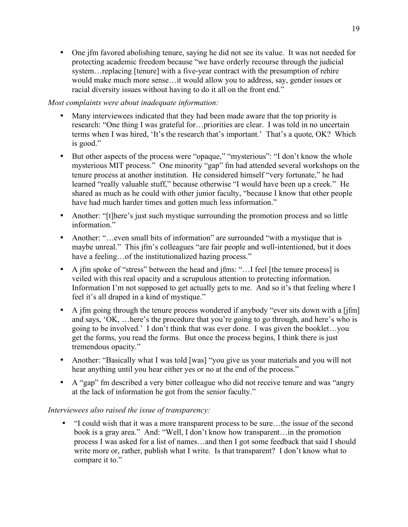• One jfm favored abolishing tenure, saying he did not see its value. It was not needed for protecting academic freedom because "we have orderly recourse through the judicial system... replacing [tenure] with a five-year contract with the presumption of rehire would make much more sense…it would allow you to address, say, gender issues or racial diversity issues without having to do it all on the front end."

# *Most complaints were about inadequate information:*

- Many interviewees indicated that they had been made aware that the top priority is research: "One thing I was grateful for…priorities are clear. I was told in no uncertain terms when I was hired, 'It's the research that's important.' That's a quote, OK? Which is good."
- But other aspects of the process were "opaque," "mysterious": "I don't know the whole mysterious MIT process." One minority "gap" fm had attended several workshops on the tenure process at another institution. He considered himself "very fortunate," he had learned "really valuable stuff," because otherwise "I would have been up a creek." He shared as much as he could with other junior faculty, "because I know that other people have had much harder times and gotten much less information."
- Another: "[t]here's just such mystique surrounding the promotion process and so little information."
- Another: "... even small bits of information" are surrounded "with a mystique that is maybe unreal." This jfm's colleagues "are fair people and well-intentioned, but it does have a feeling... of the institutionalized hazing process."
- A jfm spoke of "stress" between the head and jfms: "... I feel [the tenure process] is veiled with this real opacity and a scrupulous attention to protecting information. Information I'm not supposed to get actually gets to me. And so it's that feeling where I feel it's all draped in a kind of mystique."
- A jfm going through the tenure process wondered if anybody "ever sits down with a [jfm] and says, 'OK, …here's the procedure that you're going to go through, and here's who is going to be involved.' I don't think that was ever done. I was given the booklet…you get the forms, you read the forms. But once the process begins, I think there is just tremendous opacity."
- Another: "Basically what I was told [was] "you give us your materials and you will not hear anything until you hear either yes or no at the end of the process."
- A "gap" fm described a very bitter colleague who did not receive tenure and was "angry" at the lack of information he got from the senior faculty."

### *Interviewees also raised the issue of transparency:*

• "I could wish that it was a more transparent process to be sure…the issue of the second book is a gray area." And: "Well, I don't know how transparent…in the promotion process I was asked for a list of names…and then I got some feedback that said I should write more or, rather, publish what I write. Is that transparent? I don't know what to compare it to."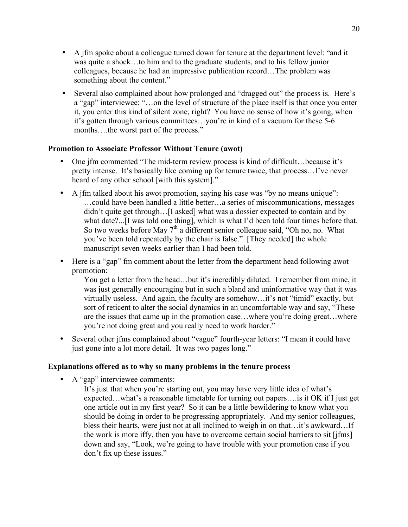- A jfm spoke about a colleague turned down for tenure at the department level: "and it was quite a shock…to him and to the graduate students, and to his fellow junior colleagues, because he had an impressive publication record…The problem was something about the content."
- Several also complained about how prolonged and "dragged out" the process is. Here's a "gap" interviewee: "…on the level of structure of the place itself is that once you enter it, you enter this kind of silent zone, right? You have no sense of how it's going, when it's gotten through various committees…you're in kind of a vacuum for these 5-6 months….the worst part of the process."

## **Promotion to Associate Professor Without Tenure (awot)**

- One jfm commented "The mid-term review process is kind of difficult...because it's pretty intense. It's basically like coming up for tenure twice, that process…I've never heard of any other school [with this system]."
- A jfm talked about his awot promotion, saying his case was "by no means unique": …could have been handled a little better…a series of miscommunications, messages didn't quite get through…[I asked] what was a dossier expected to contain and by what date?...[I was told one thing], which is what I'd been told four times before that. So two weeks before May  $7<sup>th</sup>$  a different senior colleague said, "Oh no, no. What you've been told repeatedly by the chair is false." [They needed] the whole manuscript seven weeks earlier than I had been told.
- Here is a "gap" fm comment about the letter from the department head following awot promotion:

You get a letter from the head…but it's incredibly diluted. I remember from mine, it was just generally encouraging but in such a bland and uninformative way that it was virtually useless. And again, the faculty are somehow…it's not "timid" exactly, but sort of reticent to alter the social dynamics in an uncomfortable way and say, "These are the issues that came up in the promotion case…where you're doing great…where you're not doing great and you really need to work harder."

• Several other jfms complained about "vague" fourth-year letters: "I mean it could have just gone into a lot more detail. It was two pages long."

### **Explanations offered as to why so many problems in the tenure process**

- A "gap" interviewee comments:
	- It's just that when you're starting out, you may have very little idea of what's expected…what's a reasonable timetable for turning out papers….is it OK if I just get one article out in my first year? So it can be a little bewildering to know what you should be doing in order to be progressing appropriately. And my senior colleagues, bless their hearts, were just not at all inclined to weigh in on that…it's awkward…If the work is more iffy, then you have to overcome certain social barriers to sit [jfms] down and say, "Look, we're going to have trouble with your promotion case if you don't fix up these issues."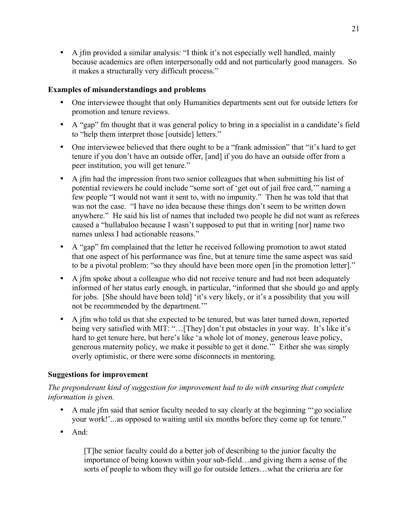• A jfm provided a similar analysis: "I think it's not especially well handled, mainly because academics are often interpersonally odd and not particularly good managers. So it makes a structurally very difficult process."

# **Examples of misunderstandings and problems**

- One interviewee thought that only Humanities departments sent out for outside letters for promotion and tenure reviews.
- A "gap" fm thought that it was general policy to bring in a specialist in a candidate's field to "help them interpret those [outside] letters."
- One interviewee believed that there ought to be a "frank admission" that "it's hard to get tenure if you don't have an outside offer, [and] if you do have an outside offer from a peer institution, you will get tenure."
- A jfm had the impression from two senior colleagues that when submitting his list of potential reviewers he could include "some sort of 'get out of jail free card,'" naming a few people "I would not want it sent to, with no impunity." Then he was told that that was not the case. "I have no idea because these things don't seem to be written down anywhere." He said his list of names that included two people he did not want as referees caused a "hullabaloo because I wasn't supposed to put that in writing [nor] name two names unless I had actionable reasons."
- A "gap" fm complained that the letter he received following promotion to awot stated that one aspect of his performance was fine, but at tenure time the same aspect was said to be a pivotal problem: "so they should have been more open [in the promotion letter]."
- A jfm spoke about a colleague who did not receive tenure and had not been adequately informed of her status early enough, in particular, "informed that she should go and apply for jobs. [She should have been told] 'it's very likely, or it's a possibility that you will not be recommended by the department.'"
- A jfm who told us that she expected to be tenured, but was later turned down, reported being very satisfied with MIT: "...[They] don't put obstacles in your way. It's like it's hard to get tenure here, but here's like 'a whole lot of money, generous leave policy, generous maternity policy, we make it possible to get it done.'" Either she was simply overly optimistic, or there were some disconnects in mentoring.

### **Suggestions for improvement**

## *The preponderant kind of suggestion for improvement had to do with ensuring that complete information is given.*

- A male jfm said that senior faculty needed to say clearly at the beginning "go socialize" your work!'...as opposed to waiting until six months before they come up for tenure."
- And:

[T]he senior faculty could do a better job of describing to the junior faculty the importance of being known within your sub-field…and giving them a sense of the sorts of people to whom they will go for outside letters…what the criteria are for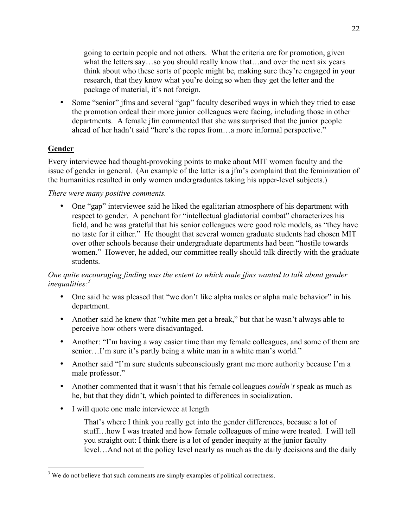going to certain people and not others. What the criteria are for promotion, given what the letters say…so you should really know that…and over the next six years think about who these sorts of people might be, making sure they're engaged in your research, that they know what you're doing so when they get the letter and the package of material, it's not foreign.

• Some "senior" jfms and several "gap" faculty described ways in which they tried to ease the promotion ordeal their more junior colleagues were facing, including those in other departments. A female jfm commented that she was surprised that the junior people ahead of her hadn't said "here's the ropes from…a more informal perspective."

# **Gender**

Every interviewee had thought-provoking points to make about MIT women faculty and the issue of gender in general. (An example of the latter is a jfm's complaint that the feminization of the humanities resulted in only women undergraduates taking his upper-level subjects.)

## *There were many positive comments.*

• One "gap" interviewee said he liked the egalitarian atmosphere of his department with respect to gender. A penchant for "intellectual gladiatorial combat" characterizes his field, and he was grateful that his senior colleagues were good role models, as "they have no taste for it either." He thought that several women graduate students had chosen MIT over other schools because their undergraduate departments had been "hostile towards women." However, he added, our committee really should talk directly with the graduate students.

## *One quite encouraging finding was the extent to which male jfms wanted to talk about gender inequalities: 3*

- One said he was pleased that "we don't like alpha males or alpha male behavior" in his department.
- Another said he knew that "white men get a break," but that he wasn't always able to perceive how others were disadvantaged.
- Another: "I'm having a way easier time than my female colleagues, and some of them are senior…I'm sure it's partly being a white man in a white man's world."
- Another said "I'm sure students subconsciously grant me more authority because I'm a male professor."
- Another commented that it wasn't that his female colleagues *couldn't* speak as much as he, but that they didn't, which pointed to differences in socialization.
- I will quote one male interviewee at length

That's where I think you really get into the gender differences, because a lot of stuff…how I was treated and how female colleagues of mine were treated. I will tell you straight out: I think there is a lot of gender inequity at the junior faculty level…And not at the policy level nearly as much as the daily decisions and the daily

 <sup>3</sup> <sup>3</sup> We do not believe that such comments are simply examples of political correctness.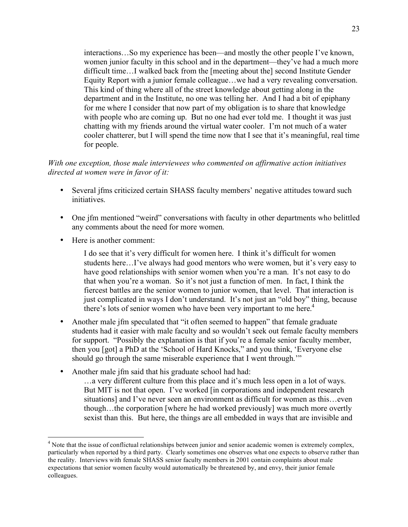interactions…So my experience has been—and mostly the other people I've known, women junior faculty in this school and in the department—they've had a much more difficult time…I walked back from the [meeting about the] second Institute Gender Equity Report with a junior female colleague…we had a very revealing conversation. This kind of thing where all of the street knowledge about getting along in the department and in the Institute, no one was telling her. And I had a bit of epiphany for me where I consider that now part of my obligation is to share that knowledge with people who are coming up. But no one had ever told me. I thought it was just chatting with my friends around the virtual water cooler. I'm not much of a water cooler chatterer, but I will spend the time now that I see that it's meaningful, real time for people.

## *With one exception, those male interviewees who commented on affirmative action initiatives directed at women were in favor of it:*

- Several jfms criticized certain SHASS faculty members' negative attitudes toward such initiatives.
- One jfm mentioned "weird" conversations with faculty in other departments who belittled any comments about the need for more women.
- Here is another comment:

I do see that it's very difficult for women here. I think it's difficult for women students here…I've always had good mentors who were women, but it's very easy to have good relationships with senior women when you're a man. It's not easy to do that when you're a woman. So it's not just a function of men. In fact, I think the fiercest battles are the senior women to junior women, that level. That interaction is just complicated in ways I don't understand. It's not just an "old boy" thing, because there's lots of senior women who have been very important to me here.<sup>4</sup>

- Another male jfm speculated that "it often seemed to happen" that female graduate students had it easier with male faculty and so wouldn't seek out female faculty members for support. "Possibly the explanation is that if you're a female senior faculty member, then you [got] a PhD at the 'School of Hard Knocks," and you think, 'Everyone else should go through the same miserable experience that I went through.'"
- Another male jfm said that his graduate school had had:

…a very different culture from this place and it's much less open in a lot of ways. But MIT is not that open. I've worked [in corporations and independent research situations] and I've never seen an environment as difficult for women as this...even though…the corporation [where he had worked previously] was much more overtly sexist than this. But here, the things are all embedded in ways that are invisible and

 $\frac{1}{4}$ <sup>4</sup> Note that the issue of conflictual relationships between junior and senior academic women is extremely complex, particularly when reported by a third party. Clearly sometimes one observes what one expects to observe rather than the reality. Interviews with female SHASS senior faculty members in 2001 contain complaints about male expectations that senior women faculty would automatically be threatened by, and envy, their junior female colleagues.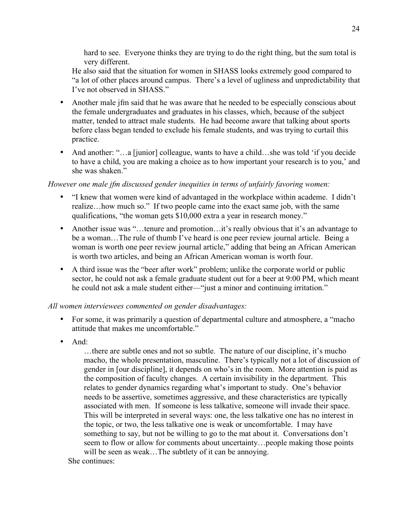hard to see. Everyone thinks they are trying to do the right thing, but the sum total is very different.

He also said that the situation for women in SHASS looks extremely good compared to "a lot of other places around campus. There's a level of ugliness and unpredictability that I've not observed in SHASS."

- Another male jfm said that he was aware that he needed to be especially conscious about the female undergraduates and graduates in his classes, which, because of the subject matter, tended to attract male students. He had become aware that talking about sports before class began tended to exclude his female students, and was trying to curtail this practice.
- And another: "…a [junior] colleague, wants to have a child…she was told 'if you decide to have a child, you are making a choice as to how important your research is to you,' and she was shaken."

## *However one male jfm discussed gender inequities in terms of unfairly favoring women:*

- "I knew that women were kind of advantaged in the workplace within academe. I didn't realize…how much so." If two people came into the exact same job, with the same qualifications, "the woman gets \$10,000 extra a year in research money."
- Another issue was "...tenure and promotion...it's really obvious that it's an advantage to be a woman…The rule of thumb I've heard is one peer review journal article. Being a woman is worth one peer review journal article," adding that being an African American is worth two articles, and being an African American woman is worth four.
- A third issue was the "beer after work" problem; unlike the corporate world or public sector, he could not ask a female graduate student out for a beer at 9:00 PM, which meant he could not ask a male student either—"just a minor and continuing irritation."

# *All women interviewees commented on gender disadvantages:*

- For some, it was primarily a question of departmental culture and atmosphere, a "macho attitude that makes me uncomfortable."
- And:

…there are subtle ones and not so subtle. The nature of our discipline, it's mucho macho, the whole presentation, masculine. There's typically not a lot of discussion of gender in [our discipline], it depends on who's in the room. More attention is paid as the composition of faculty changes. A certain invisibility in the department. This relates to gender dynamics regarding what's important to study. One's behavior needs to be assertive, sometimes aggressive, and these characteristics are typically associated with men. If someone is less talkative, someone will invade their space. This will be interpreted in several ways: one, the less talkative one has no interest in the topic, or two, the less talkative one is weak or uncomfortable. I may have something to say, but not be willing to go to the mat about it. Conversations don't seem to flow or allow for comments about uncertainty…people making those points will be seen as weak...The subtlety of it can be annoying.

She continues: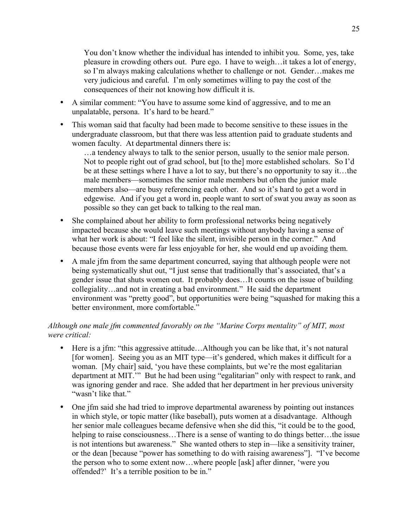You don't know whether the individual has intended to inhibit you. Some, yes, take pleasure in crowding others out. Pure ego. I have to weigh…it takes a lot of energy, so I'm always making calculations whether to challenge or not. Gender…makes me very judicious and careful. I'm only sometimes willing to pay the cost of the consequences of their not knowing how difficult it is.

- A similar comment: "You have to assume some kind of aggressive, and to me an unpalatable, persona. It's hard to be heard."
- This woman said that faculty had been made to become sensitive to these issues in the undergraduate classroom, but that there was less attention paid to graduate students and women faculty. At departmental dinners there is:

…a tendency always to talk to the senior person, usually to the senior male person. Not to people right out of grad school, but [to the] more established scholars. So I'd be at these settings where I have a lot to say, but there's no opportunity to say it…the male members—sometimes the senior male members but often the junior male members also—are busy referencing each other. And so it's hard to get a word in edgewise. And if you get a word in, people want to sort of swat you away as soon as possible so they can get back to talking to the real man.

- She complained about her ability to form professional networks being negatively impacted because she would leave such meetings without anybody having a sense of what her work is about: "I feel like the silent, invisible person in the corner." And because those events were far less enjoyable for her, she would end up avoiding them.
- A male jfm from the same department concurred, saying that although people were not being systematically shut out, "I just sense that traditionally that's associated, that's a gender issue that shuts women out. It probably does…It counts on the issue of building collegiality…and not in creating a bad environment." He said the department environment was "pretty good", but opportunities were being "squashed for making this a better environment, more comfortable."

# *Although one male jfm commented favorably on the "Marine Corps mentality" of MIT, most were critical:*

- Here is a jfm: "this aggressive attitude…Although you can be like that, it's not natural [for women]. Seeing you as an MIT type—it's gendered, which makes it difficult for a woman. [My chair] said, 'you have these complaints, but we're the most egalitarian department at MIT.'" But he had been using "egalitarian" only with respect to rank, and was ignoring gender and race. She added that her department in her previous university "wasn't like that."
- One jfm said she had tried to improve departmental awareness by pointing out instances in which style, or topic matter (like baseball), puts women at a disadvantage. Although her senior male colleagues became defensive when she did this, "it could be to the good, helping to raise consciousness…There is a sense of wanting to do things better…the issue is not intentions but awareness." She wanted others to step in—like a sensitivity trainer, or the dean [because "power has something to do with raising awareness"]. "I've become the person who to some extent now…where people [ask] after dinner, 'were you offended?' It's a terrible position to be in."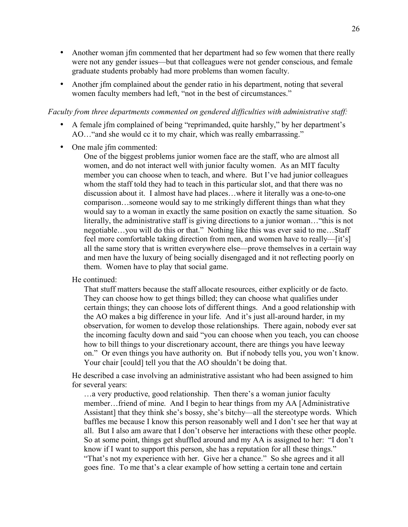- Another woman jfm commented that her department had so few women that there really were not any gender issues—but that colleagues were not gender conscious, and female graduate students probably had more problems than women faculty.
- Another jfm complained about the gender ratio in his department, noting that several women faculty members had left, "not in the best of circumstances."

#### *Faculty from three departments commented on gendered difficulties with administrative staff:*

- A female jfm complained of being "reprimanded, quite harshly," by her department's AO…"and she would cc it to my chair, which was really embarrassing."
- One male ifm commented:

One of the biggest problems junior women face are the staff, who are almost all women, and do not interact well with junior faculty women. As an MIT faculty member you can choose when to teach, and where. But I've had junior colleagues whom the staff told they had to teach in this particular slot, and that there was no discussion about it. I almost have had places…where it literally was a one-to-one comparison…someone would say to me strikingly different things than what they would say to a woman in exactly the same position on exactly the same situation. So literally, the administrative staff is giving directions to a junior woman…"this is not negotiable…you will do this or that." Nothing like this was ever said to me…Staff feel more comfortable taking direction from men, and women have to really—[it's] all the same story that is written everywhere else—prove themselves in a certain way and men have the luxury of being socially disengaged and it not reflecting poorly on them. Women have to play that social game.

He continued:

That stuff matters because the staff allocate resources, either explicitly or de facto. They can choose how to get things billed; they can choose what qualifies under certain things; they can choose lots of different things. And a good relationship with the AO makes a big difference in your life. And it's just all-around harder, in my observation, for women to develop those relationships. There again, nobody ever sat the incoming faculty down and said "you can choose when you teach, you can choose how to bill things to your discretionary account, there are things you have leeway on." Or even things you have authority on. But if nobody tells you, you won't know. Your chair [could] tell you that the AO shouldn't be doing that.

He described a case involving an administrative assistant who had been assigned to him for several years:

…a very productive, good relationship. Then there's a woman junior faculty member…friend of mine. And I begin to hear things from my AA [Administrative Assistant] that they think she's bossy, she's bitchy—all the stereotype words. Which baffles me because I know this person reasonably well and I don't see her that way at all. But I also am aware that I don't observe her interactions with these other people. So at some point, things get shuffled around and my AA is assigned to her: "I don't know if I want to support this person, she has a reputation for all these things." "That's not my experience with her. Give her a chance." So she agrees and it all goes fine. To me that's a clear example of how setting a certain tone and certain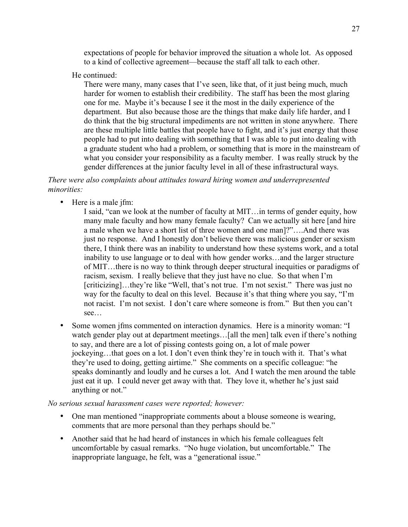expectations of people for behavior improved the situation a whole lot. As opposed to a kind of collective agreement—because the staff all talk to each other.

He continued:

There were many, many cases that I've seen, like that, of it just being much, much harder for women to establish their credibility. The staff has been the most glaring one for me. Maybe it's because I see it the most in the daily experience of the department. But also because those are the things that make daily life harder, and I do think that the big structural impediments are not written in stone anywhere. There are these multiple little battles that people have to fight, and it's just energy that those people had to put into dealing with something that I was able to put into dealing with a graduate student who had a problem, or something that is more in the mainstream of what you consider your responsibility as a faculty member. I was really struck by the gender differences at the junior faculty level in all of these infrastructural ways.

*There were also complaints about attitudes toward hiring women and underrepresented minorities:*

- Here is a male jfm:
	- I said, "can we look at the number of faculty at MIT…in terms of gender equity, how many male faculty and how many female faculty? Can we actually sit here [and hire a male when we have a short list of three women and one man]?"….And there was just no response. And I honestly don't believe there was malicious gender or sexism there, I think there was an inability to understand how these systems work, and a total inability to use language or to deal with how gender works…and the larger structure of MIT…there is no way to think through deeper structural inequities or paradigms of racism, sexism. I really believe that they just have no clue. So that when I'm [criticizing]...they're like "Well, that's not true. I'm not sexist." There was just no way for the faculty to deal on this level. Because it's that thing where you say, "I'm not racist. I'm not sexist. I don't care where someone is from." But then you can't see…
- Some women jfms commented on interaction dynamics. Here is a minority woman: "I watch gender play out at department meetings...[all the men] talk even if there's nothing to say, and there are a lot of pissing contests going on, a lot of male power jockeying…that goes on a lot. I don't even think they're in touch with it. That's what they're used to doing, getting airtime." She comments on a specific colleague: "he speaks dominantly and loudly and he curses a lot. And I watch the men around the table just eat it up. I could never get away with that. They love it, whether he's just said anything or not."

### *No serious sexual harassment cases were reported; however:*

- One man mentioned "inappropriate comments about a blouse someone is wearing, comments that are more personal than they perhaps should be."
- Another said that he had heard of instances in which his female colleagues felt uncomfortable by casual remarks. "No huge violation, but uncomfortable." The inappropriate language, he felt, was a "generational issue."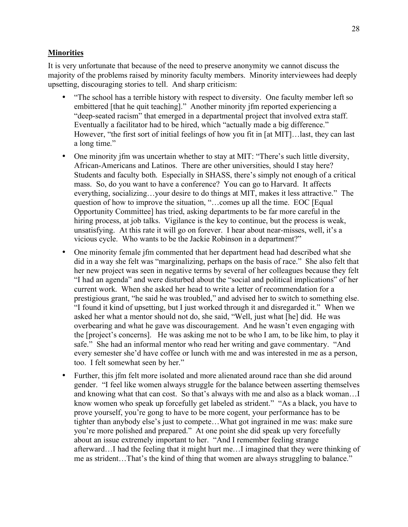#### **Minorities**

It is very unfortunate that because of the need to preserve anonymity we cannot discuss the majority of the problems raised by minority faculty members. Minority interviewees had deeply upsetting, discouraging stories to tell. And sharp criticism:

- "The school has a terrible history with respect to diversity. One faculty member left so embittered [that he quit teaching]." Another minority jfm reported experiencing a "deep-seated racism" that emerged in a departmental project that involved extra staff. Eventually a facilitator had to be hired, which "actually made a big difference." However, "the first sort of initial feelings of how you fit in [at MIT]…last, they can last a long time."
- One minority jfm was uncertain whether to stay at MIT: "There's such little diversity, African-Americans and Latinos. There are other universities, should I stay here? Students and faculty both. Especially in SHASS, there's simply not enough of a critical mass. So, do you want to have a conference? You can go to Harvard. It affects everything, socializing…your desire to do things at MIT, makes it less attractive." The question of how to improve the situation, "…comes up all the time. EOC [Equal Opportunity Committee] has tried, asking departments to be far more careful in the hiring process, at job talks. Vigilance is the key to continue, but the process is weak, unsatisfying. At this rate it will go on forever. I hear about near-misses, well, it's a vicious cycle. Who wants to be the Jackie Robinson in a department?"
- One minority female jfm commented that her department head had described what she did in a way she felt was "marginalizing, perhaps on the basis of race." She also felt that her new project was seen in negative terms by several of her colleagues because they felt "I had an agenda" and were disturbed about the "social and political implications" of her current work. When she asked her head to write a letter of recommendation for a prestigious grant, "he said he was troubled," and advised her to switch to something else. "I found it kind of upsetting, but I just worked through it and disregarded it." When we asked her what a mentor should not do, she said, "Well, just what [he] did. He was overbearing and what he gave was discouragement. And he wasn't even engaging with the [project's concerns]. He was asking me not to be who I am, to be like him, to play it safe." She had an informal mentor who read her writing and gave commentary. "And every semester she'd have coffee or lunch with me and was interested in me as a person, too. I felt somewhat seen by her."
- Further, this jfm felt more isolated and more alienated around race than she did around gender. "I feel like women always struggle for the balance between asserting themselves and knowing what that can cost. So that's always with me and also as a black woman…I know women who speak up forcefully get labeled as strident." "As a black, you have to prove yourself, you're gong to have to be more cogent, your performance has to be tighter than anybody else's just to compete…What got ingrained in me was: make sure you're more polished and prepared." At one point she did speak up very forcefully about an issue extremely important to her. "And I remember feeling strange afterward…I had the feeling that it might hurt me…I imagined that they were thinking of me as strident…That's the kind of thing that women are always struggling to balance."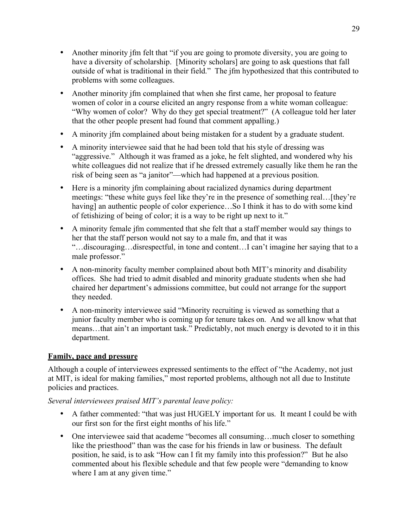- Another minority jfm felt that "if you are going to promote diversity, you are going to have a diversity of scholarship. [Minority scholars] are going to ask questions that fall outside of what is traditional in their field." The jfm hypothesized that this contributed to problems with some colleagues.
- Another minority jfm complained that when she first came, her proposal to feature women of color in a course elicited an angry response from a white woman colleague: "Why women of color? Why do they get special treatment?" (A colleague told her later that the other people present had found that comment appalling.)
- A minority jfm complained about being mistaken for a student by a graduate student.
- A minority interviewee said that he had been told that his style of dressing was "aggressive." Although it was framed as a joke, he felt slighted, and wondered why his white colleagues did not realize that if he dressed extremely casually like them he ran the risk of being seen as "a janitor"—which had happened at a previous position.
- Here is a minority jfm complaining about racialized dynamics during department meetings: "these white guys feel like they're in the presence of something real…[they're having] an authentic people of color experience...So I think it has to do with some kind of fetishizing of being of color; it is a way to be right up next to it."
- A minority female jfm commented that she felt that a staff member would say things to her that the staff person would not say to a male fm, and that it was "…discouraging…disrespectful, in tone and content…I can't imagine her saying that to a male professor."
- A non-minority faculty member complained about both MIT's minority and disability offices. She had tried to admit disabled and minority graduate students when she had chaired her department's admissions committee, but could not arrange for the support they needed.
- A non-minority interviewee said "Minority recruiting is viewed as something that a junior faculty member who is coming up for tenure takes on. And we all know what that means…that ain't an important task." Predictably, not much energy is devoted to it in this department.

# **Family, pace and pressure**

Although a couple of interviewees expressed sentiments to the effect of "the Academy, not just at MIT, is ideal for making families," most reported problems, although not all due to Institute policies and practices.

# *Several interviewees praised MIT's parental leave policy:*

- A father commented: "that was just HUGELY important for us. It meant I could be with our first son for the first eight months of his life."
- One interviewee said that academe "becomes all consuming...much closer to something like the priesthood" than was the case for his friends in law or business. The default position, he said, is to ask "How can I fit my family into this profession?" But he also commented about his flexible schedule and that few people were "demanding to know where I am at any given time."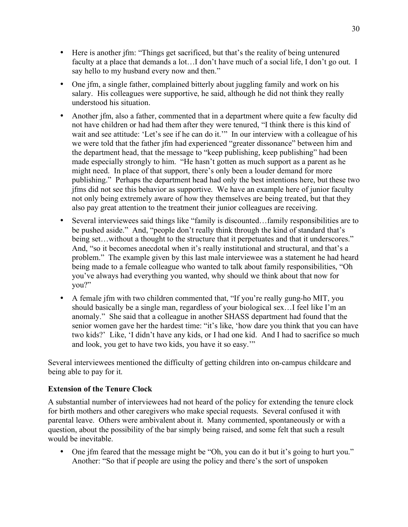- Here is another jfm: "Things get sacrificed, but that's the reality of being untenured faculty at a place that demands a lot...I don't have much of a social life, I don't go out. I say hello to my husband every now and then."
- One jfm, a single father, complained bitterly about juggling family and work on his salary. His colleagues were supportive, he said, although he did not think they really understood his situation.
- Another jfm, also a father, commented that in a department where quite a few faculty did not have children or had had them after they were tenured, "I think there is this kind of wait and see attitude: 'Let's see if he can do it.'" In our interview with a colleague of his we were told that the father jfm had experienced "greater dissonance" between him and the department head, that the message to "keep publishing, keep publishing" had been made especially strongly to him. "He hasn't gotten as much support as a parent as he might need. In place of that support, there's only been a louder demand for more publishing." Perhaps the department head had only the best intentions here, but these two jfms did not see this behavior as supportive. We have an example here of junior faculty not only being extremely aware of how they themselves are being treated, but that they also pay great attention to the treatment their junior colleagues are receiving.
- Several interviewees said things like "family is discounted... family responsibilities are to be pushed aside." And, "people don't really think through the kind of standard that's being set...without a thought to the structure that it perpetuates and that it underscores." And, "so it becomes anecdotal when it's really institutional and structural, and that's a problem." The example given by this last male interviewee was a statement he had heard being made to a female colleague who wanted to talk about family responsibilities, "Oh you've always had everything you wanted, why should we think about that now for you?"
- A female jfm with two children commented that, "If you're really gung-ho MIT, you should basically be a single man, regardless of your biological sex…I feel like I'm an anomaly." She said that a colleague in another SHASS department had found that the senior women gave her the hardest time: "it's like, 'how dare you think that you can have two kids?' Like, 'I didn't have any kids, or I had one kid. And I had to sacrifice so much and look, you get to have two kids, you have it so easy.'"

Several interviewees mentioned the difficulty of getting children into on-campus childcare and being able to pay for it.

# **Extension of the Tenure Clock**

A substantial number of interviewees had not heard of the policy for extending the tenure clock for birth mothers and other caregivers who make special requests. Several confused it with parental leave. Others were ambivalent about it. Many commented, spontaneously or with a question, about the possibility of the bar simply being raised, and some felt that such a result would be inevitable.

• One jfm feared that the message might be "Oh, you can do it but it's going to hurt you." Another: "So that if people are using the policy and there's the sort of unspoken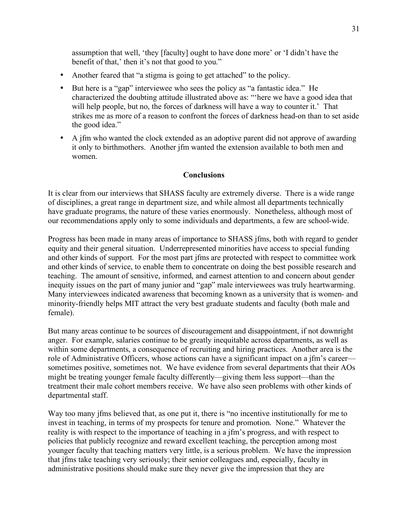assumption that well, 'they [faculty] ought to have done more' or 'I didn't have the benefit of that,' then it's not that good to you."

- Another feared that "a stigma is going to get attached" to the policy.
- But here is a "gap" interviewee who sees the policy as "a fantastic idea." He characterized the doubting attitude illustrated above as: "'here we have a good idea that will help people, but no, the forces of darkness will have a way to counter it.' That strikes me as more of a reason to confront the forces of darkness head-on than to set aside the good idea."
- A jfm who wanted the clock extended as an adoptive parent did not approve of awarding it only to birthmothers. Another jfm wanted the extension available to both men and women.

### **Conclusions**

It is clear from our interviews that SHASS faculty are extremely diverse. There is a wide range of disciplines, a great range in department size, and while almost all departments technically have graduate programs, the nature of these varies enormously. Nonetheless, although most of our recommendations apply only to some individuals and departments, a few are school-wide.

Progress has been made in many areas of importance to SHASS jfms, both with regard to gender equity and their general situation. Underrepresented minorities have access to special funding and other kinds of support. For the most part jfms are protected with respect to committee work and other kinds of service, to enable them to concentrate on doing the best possible research and teaching. The amount of sensitive, informed, and earnest attention to and concern about gender inequity issues on the part of many junior and "gap" male interviewees was truly heartwarming. Many interviewees indicated awareness that becoming known as a university that is women- and minority-friendly helps MIT attract the very best graduate students and faculty (both male and female).

But many areas continue to be sources of discouragement and disappointment, if not downright anger. For example, salaries continue to be greatly inequitable across departments, as well as within some departments, a consequence of recruiting and hiring practices. Another area is the role of Administrative Officers, whose actions can have a significant impact on a jfm's career sometimes positive, sometimes not. We have evidence from several departments that their AOs might be treating younger female faculty differently—giving them less support—than the treatment their male cohort members receive. We have also seen problems with other kinds of departmental staff.

Way too many jfms believed that, as one put it, there is "no incentive institutionally for me to invest in teaching, in terms of my prospects for tenure and promotion. None." Whatever the reality is with respect to the importance of teaching in a jfm's progress, and with respect to policies that publicly recognize and reward excellent teaching, the perception among most younger faculty that teaching matters very little, is a serious problem. We have the impression that jfms take teaching very seriously; their senior colleagues and, especially, faculty in administrative positions should make sure they never give the impression that they are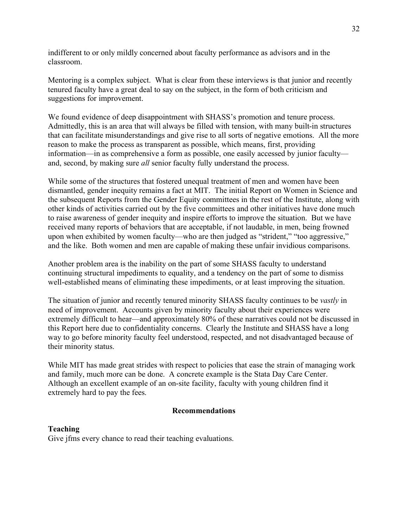indifferent to or only mildly concerned about faculty performance as advisors and in the classroom.

Mentoring is a complex subject. What is clear from these interviews is that junior and recently tenured faculty have a great deal to say on the subject, in the form of both criticism and suggestions for improvement.

We found evidence of deep disappointment with SHASS's promotion and tenure process. Admittedly, this is an area that will always be filled with tension, with many built-in structures that can facilitate misunderstandings and give rise to all sorts of negative emotions. All the more reason to make the process as transparent as possible, which means, first, providing information—in as comprehensive a form as possible, one easily accessed by junior faculty and, second, by making sure *all* senior faculty fully understand the process.

While some of the structures that fostered unequal treatment of men and women have been dismantled, gender inequity remains a fact at MIT. The initial Report on Women in Science and the subsequent Reports from the Gender Equity committees in the rest of the Institute, along with other kinds of activities carried out by the five committees and other initiatives have done much to raise awareness of gender inequity and inspire efforts to improve the situation. But we have received many reports of behaviors that are acceptable, if not laudable, in men, being frowned upon when exhibited by women faculty—who are then judged as "strident," "too aggressive," and the like. Both women and men are capable of making these unfair invidious comparisons.

Another problem area is the inability on the part of some SHASS faculty to understand continuing structural impediments to equality, and a tendency on the part of some to dismiss well-established means of eliminating these impediments, or at least improving the situation.

The situation of junior and recently tenured minority SHASS faculty continues to be *vastly* in need of improvement. Accounts given by minority faculty about their experiences were extremely difficult to hear—and approximately 80% of these narratives could not be discussed in this Report here due to confidentiality concerns. Clearly the Institute and SHASS have a long way to go before minority faculty feel understood, respected, and not disadvantaged because of their minority status.

While MIT has made great strides with respect to policies that ease the strain of managing work and family, much more can be done. A concrete example is the Stata Day Care Center. Although an excellent example of an on-site facility, faculty with young children find it extremely hard to pay the fees.

### **Recommendations**

### **Teaching**

Give jfms every chance to read their teaching evaluations.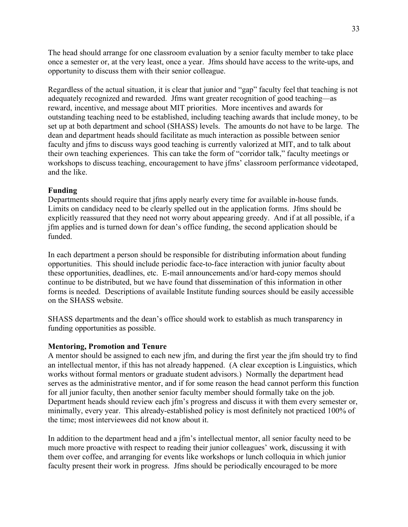The head should arrange for one classroom evaluation by a senior faculty member to take place once a semester or, at the very least, once a year. Jfms should have access to the write-ups, and opportunity to discuss them with their senior colleague.

Regardless of the actual situation, it is clear that junior and "gap" faculty feel that teaching is not adequately recognized and rewarded. Jfms want greater recognition of good teaching—as reward, incentive, and message about MIT priorities. More incentives and awards for outstanding teaching need to be established, including teaching awards that include money, to be set up at both department and school (SHASS) levels. The amounts do not have to be large. The dean and department heads should facilitate as much interaction as possible between senior faculty and jfms to discuss ways good teaching is currently valorized at MIT, and to talk about their own teaching experiences. This can take the form of "corridor talk," faculty meetings or workshops to discuss teaching, encouragement to have jfms' classroom performance videotaped, and the like.

## **Funding**

Departments should require that jfms apply nearly every time for available in-house funds. Limits on candidacy need to be clearly spelled out in the application forms. Jfms should be explicitly reassured that they need not worry about appearing greedy. And if at all possible, if a jfm applies and is turned down for dean's office funding, the second application should be funded.

In each department a person should be responsible for distributing information about funding opportunities. This should include periodic face-to-face interaction with junior faculty about these opportunities, deadlines, etc. E-mail announcements and/or hard-copy memos should continue to be distributed, but we have found that dissemination of this information in other forms is needed. Descriptions of available Institute funding sources should be easily accessible on the SHASS website.

SHASS departments and the dean's office should work to establish as much transparency in funding opportunities as possible.

### **Mentoring, Promotion and Tenure**

A mentor should be assigned to each new jfm, and during the first year the jfm should try to find an intellectual mentor, if this has not already happened. (A clear exception is Linguistics, which works without formal mentors or graduate student advisors.) Normally the department head serves as the administrative mentor, and if for some reason the head cannot perform this function for all junior faculty, then another senior faculty member should formally take on the job. Department heads should review each jfm's progress and discuss it with them every semester or, minimally, every year. This already-established policy is most definitely not practiced 100% of the time; most interviewees did not know about it.

In addition to the department head and a jfm's intellectual mentor, all senior faculty need to be much more proactive with respect to reading their junior colleagues' work, discussing it with them over coffee, and arranging for events like workshops or lunch colloquia in which junior faculty present their work in progress. Jfms should be periodically encouraged to be more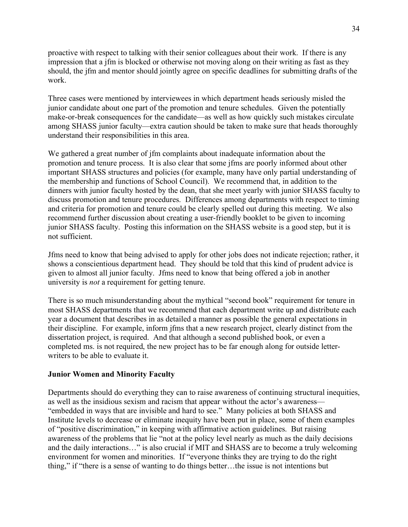proactive with respect to talking with their senior colleagues about their work. If there is any impression that a jfm is blocked or otherwise not moving along on their writing as fast as they should, the jfm and mentor should jointly agree on specific deadlines for submitting drafts of the work.

Three cases were mentioned by interviewees in which department heads seriously misled the junior candidate about one part of the promotion and tenure schedules. Given the potentially make-or-break consequences for the candidate—as well as how quickly such mistakes circulate among SHASS junior faculty—extra caution should be taken to make sure that heads thoroughly understand their responsibilities in this area.

We gathered a great number of jfm complaints about inadequate information about the promotion and tenure process. It is also clear that some jfms are poorly informed about other important SHASS structures and policies (for example, many have only partial understanding of the membership and functions of School Council). We recommend that, in addition to the dinners with junior faculty hosted by the dean, that she meet yearly with junior SHASS faculty to discuss promotion and tenure procedures. Differences among departments with respect to timing and criteria for promotion and tenure could be clearly spelled out during this meeting. We also recommend further discussion about creating a user-friendly booklet to be given to incoming junior SHASS faculty. Posting this information on the SHASS website is a good step, but it is not sufficient.

Jfms need to know that being advised to apply for other jobs does not indicate rejection; rather, it shows a conscientious department head. They should be told that this kind of prudent advice is given to almost all junior faculty. Jfms need to know that being offered a job in another university is *not* a requirement for getting tenure.

There is so much misunderstanding about the mythical "second book" requirement for tenure in most SHASS departments that we recommend that each department write up and distribute each year a document that describes in as detailed a manner as possible the general expectations in their discipline. For example, inform jfms that a new research project, clearly distinct from the dissertation project, is required. And that although a second published book, or even a completed ms. is not required, the new project has to be far enough along for outside letterwriters to be able to evaluate it.

#### **Junior Women and Minority Faculty**

Departments should do everything they can to raise awareness of continuing structural inequities, as well as the insidious sexism and racism that appear without the actor's awareness— "embedded in ways that are invisible and hard to see." Many policies at both SHASS and Institute levels to decrease or eliminate inequity have been put in place, some of them examples of "positive discrimination," in keeping with affirmative action guidelines. But raising awareness of the problems that lie "not at the policy level nearly as much as the daily decisions and the daily interactions…" is also crucial if MIT and SHASS are to become a truly welcoming environment for women and minorities. If "everyone thinks they are trying to do the right thing," if "there is a sense of wanting to do things better…the issue is not intentions but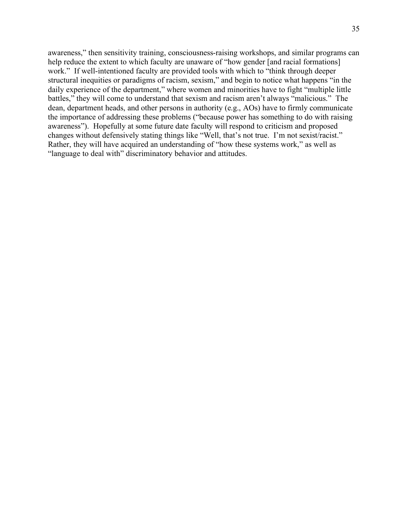awareness," then sensitivity training, consciousness-raising workshops, and similar programs can help reduce the extent to which faculty are unaware of "how gender [and racial formations] work." If well-intentioned faculty are provided tools with which to "think through deeper structural inequities or paradigms of racism, sexism," and begin to notice what happens "in the daily experience of the department," where women and minorities have to fight "multiple little battles," they will come to understand that sexism and racism aren't always "malicious." The dean, department heads, and other persons in authority (e.g., AOs) have to firmly communicate the importance of addressing these problems ("because power has something to do with raising awareness"). Hopefully at some future date faculty will respond to criticism and proposed changes without defensively stating things like "Well, that's not true. I'm not sexist/racist." Rather, they will have acquired an understanding of "how these systems work," as well as "language to deal with" discriminatory behavior and attitudes.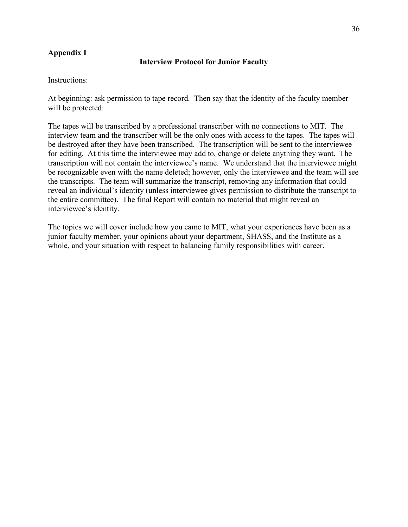# **Appendix I**

### **Interview Protocol for Junior Faculty**

Instructions:

At beginning: ask permission to tape record. Then say that the identity of the faculty member will be protected:

The tapes will be transcribed by a professional transcriber with no connections to MIT. The interview team and the transcriber will be the only ones with access to the tapes. The tapes will be destroyed after they have been transcribed. The transcription will be sent to the interviewee for editing. At this time the interviewee may add to, change or delete anything they want. The transcription will not contain the interviewee's name. We understand that the interviewee might be recognizable even with the name deleted; however, only the interviewee and the team will see the transcripts. The team will summarize the transcript, removing any information that could reveal an individual's identity (unless interviewee gives permission to distribute the transcript to the entire committee). The final Report will contain no material that might reveal an interviewee's identity.

The topics we will cover include how you came to MIT, what your experiences have been as a junior faculty member, your opinions about your department, SHASS, and the Institute as a whole, and your situation with respect to balancing family responsibilities with career.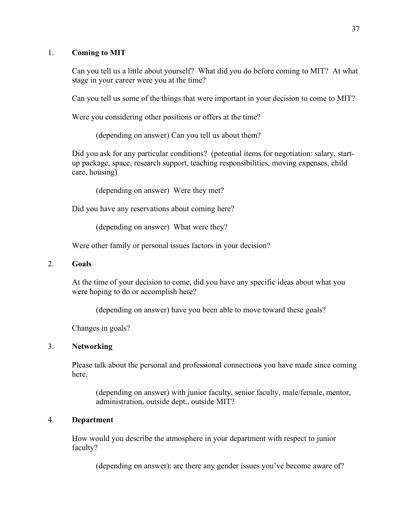## 1. **Coming to MIT**

Can you tell us a little about yourself? What did you do before coming to MIT? At what stage in your career were you at the time?

Can you tell us some of the things that were important in your decision to come to MIT?

Were you considering other positions or offers at the time?

(depending on answer) Can you tell us about them?

Did you ask for any particular conditions? (potential items for negotiation: salary, startup package, space, research support, teaching responsibilities, moving expenses, child care, housing)

(depending on answer) Were they met?

Did you have any reservations about coming here?

(depending on answer) What were they?

Were other family or personal issues factors in your decision?

## 2. **Goals**

At the time of your decision to come, did you have any specific ideas about what you were hoping to do or accomplish here?

(depending on answer) have you been able to move toward these goals?

Changes in goals?

### 3. **Networking**

Please talk about the personal and professional connections you have made since coming here.

(depending on answer) with junior faculty, senior faculty, male/female, mentor, administration, outside dept., outside MIT?

### 4. **Department**

How would you describe the atmosphere in your department with respect to junior faculty?

(depending on answer): are there any gender issues you've become aware of?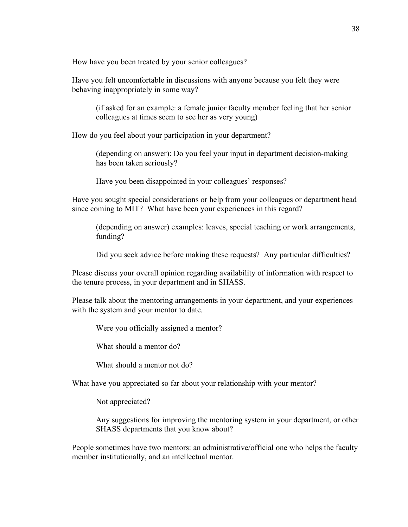How have you been treated by your senior colleagues?

Have you felt uncomfortable in discussions with anyone because you felt they were behaving inappropriately in some way?

(if asked for an example: a female junior faculty member feeling that her senior colleagues at times seem to see her as very young)

How do you feel about your participation in your department?

(depending on answer): Do you feel your input in department decision-making has been taken seriously?

Have you been disappointed in your colleagues' responses?

Have you sought special considerations or help from your colleagues or department head since coming to MIT? What have been your experiences in this regard?

(depending on answer) examples: leaves, special teaching or work arrangements, funding?

Did you seek advice before making these requests? Any particular difficulties?

Please discuss your overall opinion regarding availability of information with respect to the tenure process, in your department and in SHASS.

Please talk about the mentoring arrangements in your department, and your experiences with the system and your mentor to date.

Were you officially assigned a mentor?

What should a mentor do?

What should a mentor not do?

What have you appreciated so far about your relationship with your mentor?

Not appreciated?

Any suggestions for improving the mentoring system in your department, or other SHASS departments that you know about?

People sometimes have two mentors: an administrative/official one who helps the faculty member institutionally, and an intellectual mentor.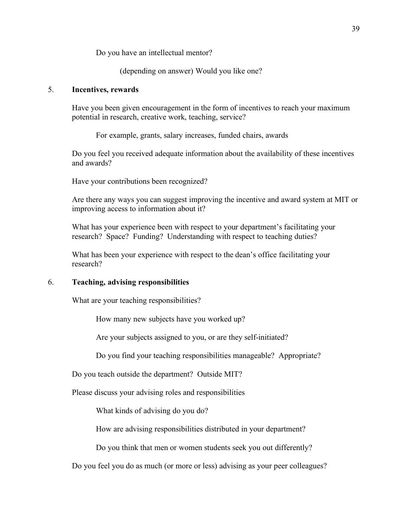Do you have an intellectual mentor?

(depending on answer) Would you like one?

## 5. **Incentives, rewards**

Have you been given encouragement in the form of incentives to reach your maximum potential in research, creative work, teaching, service?

For example, grants, salary increases, funded chairs, awards

Do you feel you received adequate information about the availability of these incentives and awards?

Have your contributions been recognized?

Are there any ways you can suggest improving the incentive and award system at MIT or improving access to information about it?

What has your experience been with respect to your department's facilitating your research? Space? Funding? Understanding with respect to teaching duties?

What has been your experience with respect to the dean's office facilitating your research?

### 6. **Teaching, advising responsibilities**

What are your teaching responsibilities?

How many new subjects have you worked up?

Are your subjects assigned to you, or are they self-initiated?

Do you find your teaching responsibilities manageable? Appropriate?

Do you teach outside the department? Outside MIT?

Please discuss your advising roles and responsibilities

What kinds of advising do you do?

How are advising responsibilities distributed in your department?

Do you think that men or women students seek you out differently?

Do you feel you do as much (or more or less) advising as your peer colleagues?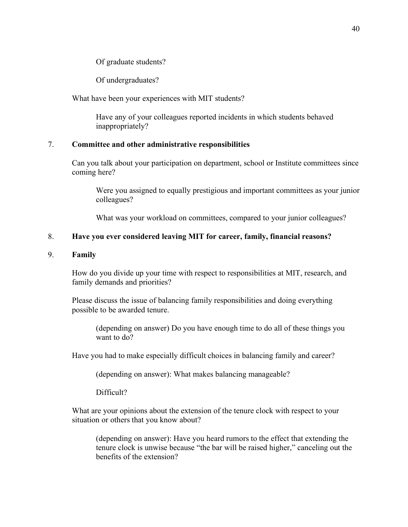Of graduate students?

Of undergraduates?

What have been your experiences with MIT students?

Have any of your colleagues reported incidents in which students behaved inappropriately?

### 7. **Committee and other administrative responsibilities**

Can you talk about your participation on department, school or Institute committees since coming here?

Were you assigned to equally prestigious and important committees as your junior colleagues?

What was your workload on committees, compared to your junior colleagues?

#### 8. **Have you ever considered leaving MIT for career, family, financial reasons?**

#### 9. **Family**

How do you divide up your time with respect to responsibilities at MIT, research, and family demands and priorities?

Please discuss the issue of balancing family responsibilities and doing everything possible to be awarded tenure.

(depending on answer) Do you have enough time to do all of these things you want to do?

Have you had to make especially difficult choices in balancing family and career?

(depending on answer): What makes balancing manageable?

Difficult?

What are your opinions about the extension of the tenure clock with respect to your situation or others that you know about?

(depending on answer): Have you heard rumors to the effect that extending the tenure clock is unwise because "the bar will be raised higher," canceling out the benefits of the extension?